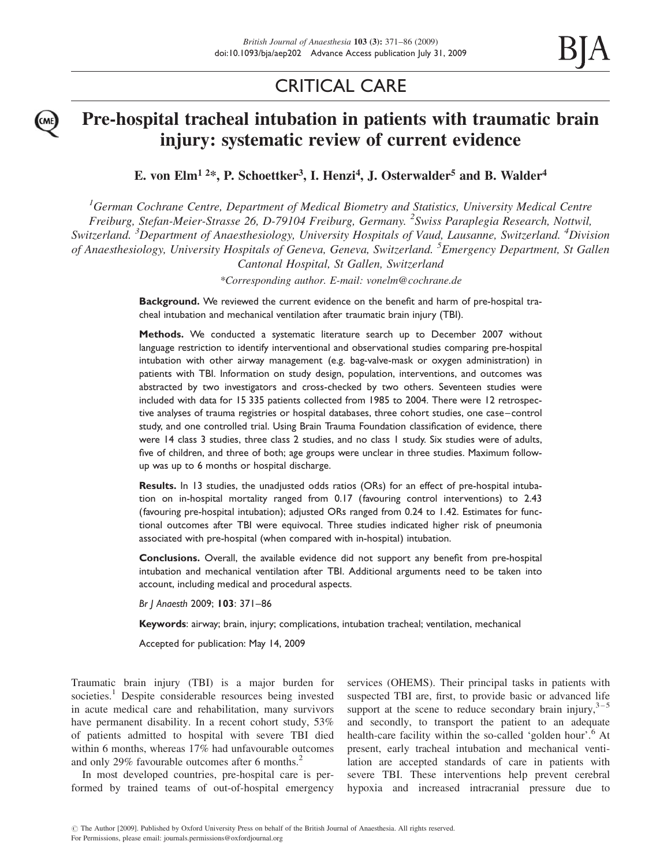# CRITICAL CARE

# Pre-hospital tracheal intubation in patients with traumatic brain injury: systematic review of current evidence

E. von Elm<sup>1 2\*</sup>, P. Schoettker<sup>3</sup>, I. Henzi<sup>4</sup>, J. Osterwalder<sup>5</sup> and B. Walder<sup>4</sup>

 ${}^{1}$ German Cochrane Centre, Department of Medical Biometry and Statistics, University Medical Centre Freiburg, Stefan-Meier-Strasse 26, D-79104 Freiburg, Germany. <sup>2</sup>Swiss Paraplegia Research, Nottwil, Switzerland. <sup>3</sup>Department of Anaesthesiology, University Hospitals of Vaud, Lausanne, Switzerland. <sup>4</sup>Division of Anaesthesiology, University Hospitals of Geneva, Geneva, Switzerland. <sup>5</sup> Emergency Department, St Gallen Cantonal Hospital, St Gallen, Switzerland

\*Corresponding author. E-mail: vonelm@cochrane.de

Background. We reviewed the current evidence on the benefit and harm of pre-hospital tracheal intubation and mechanical ventilation after traumatic brain injury (TBI).

Methods. We conducted a systematic literature search up to December 2007 without language restriction to identify interventional and observational studies comparing pre-hospital intubation with other airway management (e.g. bag-valve-mask or oxygen administration) in patients with TBI. Information on study design, population, interventions, and outcomes was abstracted by two investigators and cross-checked by two others. Seventeen studies were included with data for 15 335 patients collected from 1985 to 2004. There were 12 retrospective analyses of trauma registries or hospital databases, three cohort studies, one case –control study, and one controlled trial. Using Brain Trauma Foundation classification of evidence, there were 14 class 3 studies, three class 2 studies, and no class 1 study. Six studies were of adults, five of children, and three of both; age groups were unclear in three studies. Maximum followup was up to 6 months or hospital discharge.

Results. In 13 studies, the unadjusted odds ratios (ORs) for an effect of pre-hospital intubation on in-hospital mortality ranged from 0.17 (favouring control interventions) to 2.43 (favouring pre-hospital intubation); adjusted ORs ranged from 0.24 to 1.42. Estimates for functional outcomes after TBI were equivocal. Three studies indicated higher risk of pneumonia associated with pre-hospital (when compared with in-hospital) intubation.

Conclusions. Overall, the available evidence did not support any benefit from pre-hospital intubation and mechanical ventilation after TBI. Additional arguments need to be taken into account, including medical and procedural aspects.

Br J Anaesth 2009; 103: 371–86

Keywords: airway; brain, injury; complications, intubation tracheal; ventilation, mechanical

Accepted for publication: May 14, 2009

Traumatic brain injury (TBI) is a major burden for societies.<sup>1</sup> Despite considerable resources being invested in acute medical care and rehabilitation, many survivors have permanent disability. In a recent cohort study, 53% of patients admitted to hospital with severe TBI died within 6 months, whereas 17% had unfavourable outcomes and only 29% favourable outcomes after 6 months.<sup>2</sup>

In most developed countries, pre-hospital care is performed by trained teams of out-of-hospital emergency services (OHEMS). Their principal tasks in patients with suspected TBI are, first, to provide basic or advanced life support at the scene to reduce secondary brain injury,  $3-5$ and secondly, to transport the patient to an adequate health-care facility within the so-called 'golden hour'.<sup>6</sup> At present, early tracheal intubation and mechanical ventilation are accepted standards of care in patients with severe TBI. These interventions help prevent cerebral hypoxia and increased intracranial pressure due to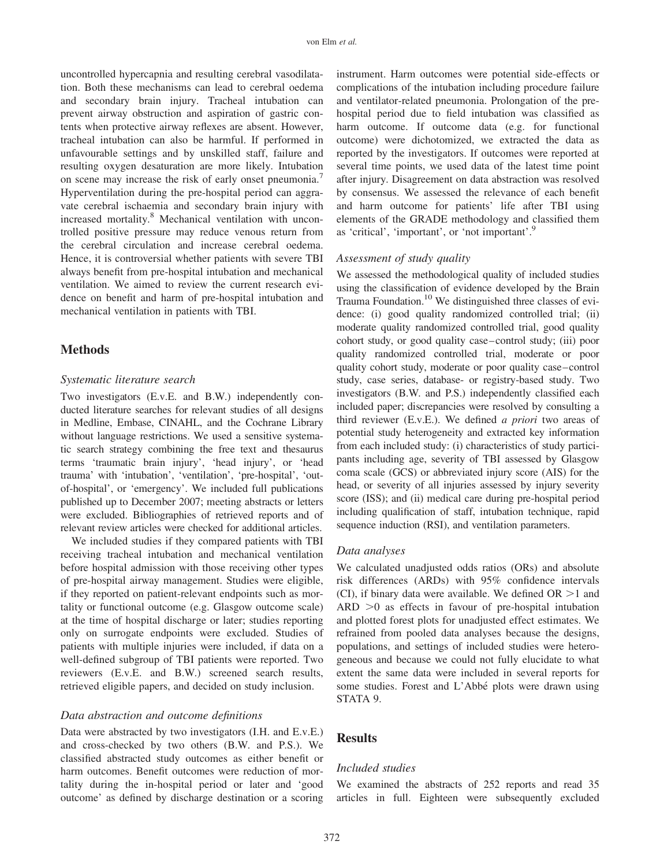uncontrolled hypercapnia and resulting cerebral vasodilatation. Both these mechanisms can lead to cerebral oedema and secondary brain injury. Tracheal intubation can prevent airway obstruction and aspiration of gastric contents when protective airway reflexes are absent. However, tracheal intubation can also be harmful. If performed in unfavourable settings and by unskilled staff, failure and resulting oxygen desaturation are more likely. Intubation on scene may increase the risk of early onset pneumonia.<sup>7</sup> Hyperventilation during the pre-hospital period can aggravate cerebral ischaemia and secondary brain injury with increased mortality.<sup>8</sup> Mechanical ventilation with uncontrolled positive pressure may reduce venous return from the cerebral circulation and increase cerebral oedema. Hence, it is controversial whether patients with severe TBI always benefit from pre-hospital intubation and mechanical ventilation. We aimed to review the current research evidence on benefit and harm of pre-hospital intubation and mechanical ventilation in patients with TBI.

# **Methods**

#### Systematic literature search

Two investigators (E.v.E. and B.W.) independently conducted literature searches for relevant studies of all designs in Medline, Embase, CINAHL, and the Cochrane Library without language restrictions. We used a sensitive systematic search strategy combining the free text and thesaurus terms 'traumatic brain injury', 'head injury', or 'head trauma' with 'intubation', 'ventilation', 'pre-hospital', 'outof-hospital', or 'emergency'. We included full publications published up to December 2007; meeting abstracts or letters were excluded. Bibliographies of retrieved reports and of relevant review articles were checked for additional articles.

We included studies if they compared patients with TBI receiving tracheal intubation and mechanical ventilation before hospital admission with those receiving other types of pre-hospital airway management. Studies were eligible, if they reported on patient-relevant endpoints such as mortality or functional outcome (e.g. Glasgow outcome scale) at the time of hospital discharge or later; studies reporting only on surrogate endpoints were excluded. Studies of patients with multiple injuries were included, if data on a well-defined subgroup of TBI patients were reported. Two reviewers (E.v.E. and B.W.) screened search results, retrieved eligible papers, and decided on study inclusion.

#### Data abstraction and outcome definitions

Data were abstracted by two investigators (I.H. and E.v.E.) and cross-checked by two others (B.W. and P.S.). We classified abstracted study outcomes as either benefit or harm outcomes. Benefit outcomes were reduction of mortality during the in-hospital period or later and 'good outcome' as defined by discharge destination or a scoring instrument. Harm outcomes were potential side-effects or complications of the intubation including procedure failure and ventilator-related pneumonia. Prolongation of the prehospital period due to field intubation was classified as harm outcome. If outcome data (e.g. for functional outcome) were dichotomized, we extracted the data as reported by the investigators. If outcomes were reported at several time points, we used data of the latest time point after injury. Disagreement on data abstraction was resolved by consensus. We assessed the relevance of each benefit and harm outcome for patients' life after TBI using elements of the GRADE methodology and classified them as 'critical', 'important', or 'not important'.9

#### Assessment of study quality

We assessed the methodological quality of included studies using the classification of evidence developed by the Brain Trauma Foundation.<sup>10</sup> We distinguished three classes of evidence: (i) good quality randomized controlled trial; (ii) moderate quality randomized controlled trial, good quality cohort study, or good quality case–control study; (iii) poor quality randomized controlled trial, moderate or poor quality cohort study, moderate or poor quality case–control study, case series, database- or registry-based study. Two investigators (B.W. and P.S.) independently classified each included paper; discrepancies were resolved by consulting a third reviewer (E.v.E.). We defined  $a$  priori two areas of potential study heterogeneity and extracted key information from each included study: (i) characteristics of study participants including age, severity of TBI assessed by Glasgow coma scale (GCS) or abbreviated injury score (AIS) for the head, or severity of all injuries assessed by injury severity score (ISS); and (ii) medical care during pre-hospital period including qualification of staff, intubation technique, rapid sequence induction (RSI), and ventilation parameters.

#### Data analyses

We calculated unadjusted odds ratios (ORs) and absolute risk differences (ARDs) with 95% confidence intervals (CI), if binary data were available. We defined  $OR >1$  and  $ARD >0$  as effects in favour of pre-hospital intubation and plotted forest plots for unadjusted effect estimates. We refrained from pooled data analyses because the designs, populations, and settings of included studies were heterogeneous and because we could not fully elucidate to what extent the same data were included in several reports for some studies. Forest and L'Abbé plots were drawn using STATA 9.

## **Results**

#### Included studies

We examined the abstracts of 252 reports and read 35 articles in full. Eighteen were subsequently excluded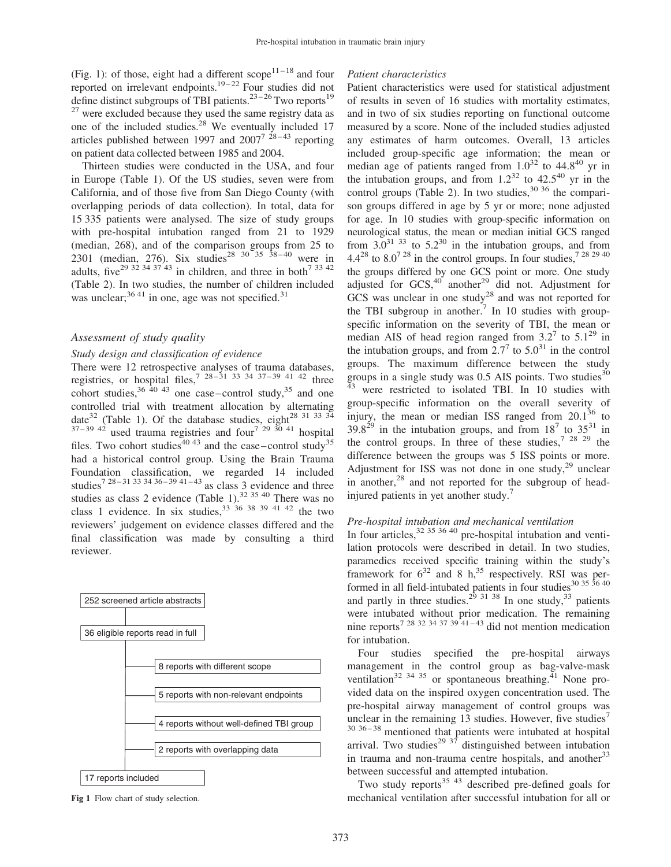(Fig. 1): of those, eight had a different scope<sup>11-18</sup> and four reported on irrelevant endpoints.<sup>19-22</sup> Four studies did not define distinct subgroups of TBI patients.<sup>23-26</sup> Two reports<sup>19</sup>  $27$  were excluded because they used the same registry data as one of the included studies.<sup>28</sup> We eventually included 17 articles published between 1997 and  $2007^7$   $^{28-43}$  reporting on patient data collected between 1985 and 2004.

Thirteen studies were conducted in the USA, and four in Europe (Table 1). Of the US studies, seven were from California, and of those five from San Diego County (with overlapping periods of data collection). In total, data for 15 335 patients were analysed. The size of study groups with pre-hospital intubation ranged from 21 to 1929 (median, 268), and of the comparison groups from 25 to 2301 (median, 276). Six studies<sup>28 30 35 38-40</sup> were in adults, five<sup>29 32 34 37 43</sup> in children, and three in both<sup>7 33 42</sup> (Table 2). In two studies, the number of children included was unclear;  $3641$  in one, age was not specified.<sup>31</sup>

### Assessment of study quality

#### Study design and classification of evidence

There were 12 retrospective analyses of trauma databases, registries, or hospital files,<sup>7 28-31 33 34 37-39 41 42</sup> three cohort studies,  $36\frac{40\frac{43}{9}}{20}$  one case-control study,  $35\frac{35}{9}$  and one controlled trial with treatment allocation by alternating date<sup>32</sup> (Table 1). Of the database studies, eight<sup>28 31 33 34</sup>  $37-39$   $42$  used trauma registries and four<sup>7</sup>  $29\frac{30}{1}$  hospital files. Two cohort studies<sup>40 43</sup> and the case–control study<sup>35</sup> had a historical control group. Using the Brain Trauma Foundation classification, we regarded 14 included studies<sup>7 28-31 33 34 36-39 41-43</sup> as class 3 evidence and three studies as class 2 evidence (Table 1).<sup>32 35 40</sup> There was no class 1 evidence. In six studies,  $33\frac{36}{38}$   $38\frac{39}{34}$   $41\frac{42}{34}$  the two reviewers' judgement on evidence classes differed and the final classification was made by consulting a third reviewer.



Fig 1 Flow chart of study selection.

#### Patient characteristics

Patient characteristics were used for statistical adjustment of results in seven of 16 studies with mortality estimates, and in two of six studies reporting on functional outcome measured by a score. None of the included studies adjusted any estimates of harm outcomes. Overall, 13 articles included group-specific age information; the mean or median age of patients ranged from  $1.0^{32}$  to  $44.8^{40}$  yr in the intubation groups, and from  $1.2^{32}$  to  $42.5^{40}$  yr in the control groups (Table 2). In two studies,  $30\,36$  the comparison groups differed in age by 5 yr or more; none adjusted for age. In 10 studies with group-specific information on neurological status, the mean or median initial GCS ranged from  $3.0^{31}$  33 to  $5.2^{30}$  in the intubation groups, and from  $4.4^{28}$  to  $8.0^{728}$  in the control groups. In four studies,  $7^{28}$   $^{29}$   $^{40}$ the groups differed by one GCS point or more. One study adjusted for  $GCS$ ,  $40$  another<sup>29</sup> did not. Adjustment for GCS was unclear in one study<sup>28</sup> and was not reported for the TBI subgroup in another.<sup>7</sup> In 10 studies with groupspecific information on the severity of TBI, the mean or median AIS of head region ranged from  $3.2^7$  to  $5.1^{29}$  in the intubation groups, and from  $2.7^7$  to  $5.0^{31}$  in the control groups. The maximum difference between the study groups in a single study was  $0.5$  AIS points. Two studies<sup>30</sup>  $43$  were restricted to isolated TBI. In 10 studies with group-specific information on the overall severity of injury, the mean or median ISS ranged from  $20.1^{36}$  to  $39.8^{29}$  in the intubation groups, and from  $18^7$  to  $35^{31}$  in the control groups. In three of these studies,<sup>7 28 29</sup> the difference between the groups was 5 ISS points or more. Adjustment for ISS was not done in one study, $29$  unclear in another, $28$  and not reported for the subgroup of headinjured patients in yet another study.<sup>7</sup>

#### Pre-hospital intubation and mechanical ventilation

In four articles,  $32 \times 35 \times 40$  pre-hospital intubation and ventilation protocols were described in detail. In two studies, paramedics received specific training within the study's framework for  $6^{32}$  and 8 h,<sup>35</sup> respectively. RSI was performed in all field-intubated patients in four studies $30\frac{35}{36}\frac{40}{16}$ and partly in three studies.<sup>29</sup> <sup>31</sup> <sup>38</sup> In one study,<sup>33</sup> patients were intubated without prior medication. The remaining nine reports<sup>7 28 32 34 37 39 41 – 43</sup> did not mention medication for intubation.

Four studies specified the pre-hospital airways management in the control group as bag-valve-mask ventilation<sup>32 34 35</sup> or spontaneous breathing.<sup>41</sup> None provided data on the inspired oxygen concentration used. The pre-hospital airway management of control groups was unclear in the remaining 13 studies. However, five studies<sup>7</sup> 30 36 – 38 mentioned that patients were intubated at hospital arrival. Two studies<sup>29 37</sup> distinguished between intubation in trauma and non-trauma centre hospitals, and another<sup>33</sup> between successful and attempted intubation.

Two study reports<sup>35 43</sup> described pre-defined goals for mechanical ventilation after successful intubation for all or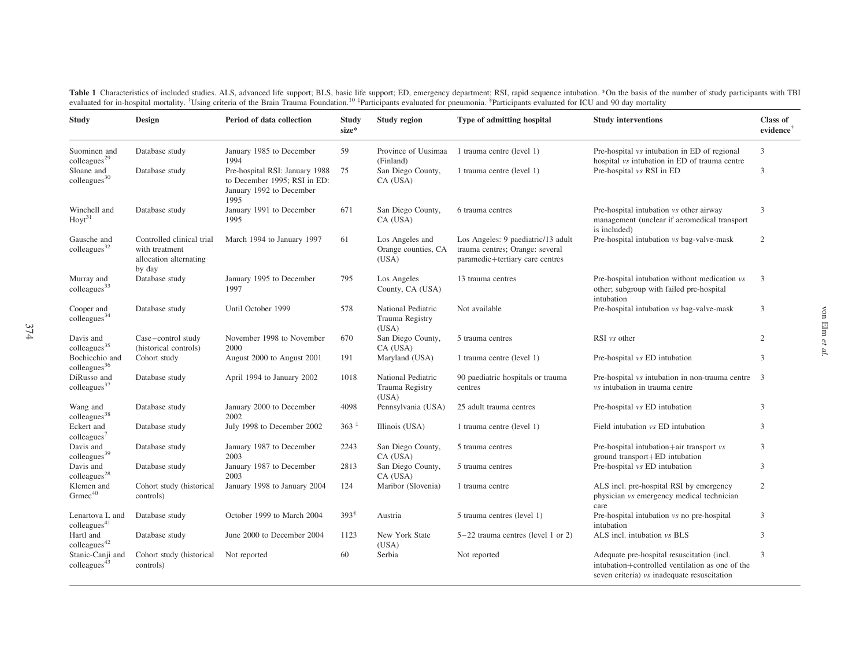Table 1 Characteristics of included studies. ALS, advanced life support; BLS, basic life support; ED, emergency department; RSI, rapid sequence intubation. \*On the basis of the number of study participants with TBI evaluat

| <b>Study</b>                                 | Design                                                                          | Period of data collection                                                                          | Study<br>size*      | Study region                                    | <b>Type of admitting hospital</b>                                                                        | <b>Study interventions</b>                                                                                                                   | Class of<br>evidence <sup>†</sup> |
|----------------------------------------------|---------------------------------------------------------------------------------|----------------------------------------------------------------------------------------------------|---------------------|-------------------------------------------------|----------------------------------------------------------------------------------------------------------|----------------------------------------------------------------------------------------------------------------------------------------------|-----------------------------------|
| Suominen and<br>colleagues <sup>29</sup>     | Database study                                                                  | January 1985 to December<br>1994                                                                   | 59                  | Province of Uusimaa<br>(Finland)                | 1 trauma centre (level 1)                                                                                | Pre-hospital vs intubation in ED of regional<br>hospital vs intubation in ED of trauma centre                                                | 3                                 |
| Sloane and<br>$\text{colleagues}^{30}$       | Database study                                                                  | Pre-hospital RSI: January 1988<br>to December 1995: RSI in ED:<br>January 1992 to December<br>1995 | 75                  | San Diego County,<br>CA (USA)                   | 1 trauma centre (level 1)                                                                                | Pre-hospital vs RSI in ED                                                                                                                    | 3                                 |
| Winchell and<br>$Hovt^{31}$                  | Database study                                                                  | January 1991 to December<br>1995                                                                   | 671                 | San Diego County,<br>CA (USA)                   | 6 trauma centres                                                                                         | Pre-hospital intubation vs other airway<br>management (unclear if aeromedical transport<br>is included)                                      | 3                                 |
| Gausche and<br>$\text{colleagues}^{32}$      | Controlled clinical trial<br>with treatment<br>allocation alternating<br>by day | March 1994 to January 1997                                                                         | 61                  | Los Angeles and<br>Orange counties, CA<br>(USA) | Los Angeles: 9 paediatric/13 adult<br>trauma centres; Orange: several<br>paramedic+tertiary care centres | Pre-hospital intubation vs bag-valve-mask                                                                                                    | 2                                 |
| Murray and<br>colleagues <sup>33</sup>       | Database study                                                                  | January 1995 to December<br>1997                                                                   | 795                 | Los Angeles<br>County, CA (USA)                 | 13 trauma centres                                                                                        | Pre-hospital intubation without medication vs<br>other; subgroup with failed pre-hospital<br>intubation                                      | 3                                 |
| Cooper and<br>colleagues <sup>34</sup>       | Database study                                                                  | Until October 1999                                                                                 | 578                 | National Pediatric<br>Trauma Registry<br>(USA)  | Not available                                                                                            | Pre-hospital intubation vs bag-valve-mask                                                                                                    | 3                                 |
| Davis and<br>colleagues <sup>35</sup>        | Case-control study<br>(historical controls)                                     | November 1998 to November<br>2000                                                                  | 670                 | San Diego County,<br>CA (USA)                   | 5 trauma centres                                                                                         | RSI vs other                                                                                                                                 | 2                                 |
| Bochicchio and<br>colleagues <sup>36</sup>   | Cohort study                                                                    | August 2000 to August 2001                                                                         | 191                 | Maryland (USA)                                  | 1 trauma centre (level 1)                                                                                | Pre-hospital vs ED intubation                                                                                                                | 3                                 |
| DiRusso and<br>colleagues <sup>37</sup>      | Database study                                                                  | April 1994 to January 2002                                                                         | 1018                | National Pediatric<br>Trauma Registry<br>(USA)  | 90 paediatric hospitals or trauma<br>centres                                                             | Pre-hospital <i>vs</i> intubation in non-trauma centre<br>vs intubation in trauma centre                                                     | 3                                 |
| Wang and<br>colleagues <sup>38</sup>         | Database study                                                                  | January 2000 to December<br>2002                                                                   | 4098                | Pennsylvania (USA)                              | 25 adult trauma centres                                                                                  | Pre-hospital vs ED intubation                                                                                                                | 3                                 |
| Eckert and<br>colleagues <sup>7</sup>        | Database study                                                                  | July 1998 to December 2002                                                                         | $363*$              | Illinois (USA)                                  | 1 trauma centre (level 1)                                                                                | Field intubation vs ED intubation                                                                                                            | 3                                 |
| Davis and<br>colleagues <sup>39</sup>        | Database study                                                                  | January 1987 to December<br>2003                                                                   | 2243                | San Diego County,<br>CA (USA)                   | 5 trauma centres                                                                                         | Pre-hospital intubation+air transport vs<br>ground transport+ED intubation                                                                   | 3                                 |
| Davis and<br>$\text{colleagues}^{28}$        | Database study                                                                  | January 1987 to December<br>2003                                                                   | 2813                | San Diego County,<br>CA (USA)                   | 5 trauma centres                                                                                         | Pre-hospital vs ED intubation                                                                                                                | 3                                 |
| Klemen and<br>$Grm$ ec <sup>40</sup>         | Cohort study (historical<br>controls)                                           | January 1998 to January 2004                                                                       | 124                 | Maribor (Slovenia)                              | 1 trauma centre                                                                                          | ALS incl. pre-hospital RSI by emergency<br>physician vs emergency medical technician<br>care                                                 | 2                                 |
| Lenartova L and<br>$\text{colleagues}^{41}$  | Database study                                                                  | October 1999 to March 2004                                                                         | $393^{\frac{8}{3}}$ | Austria                                         | 5 trauma centres (level 1)                                                                               | Pre-hospital intubation vs no pre-hospital<br>intubation                                                                                     | 3                                 |
| Hartl and<br>colleagues <sup>42</sup>        | Database study                                                                  | June 2000 to December 2004                                                                         | 1123                | New York State<br>(USA)                         | $5-22$ trauma centres (level 1 or 2)                                                                     | ALS incl. intubation vs BLS                                                                                                                  | 3                                 |
| Stanic-Canji and<br>$\text{colleagues}^{43}$ | Cohort study (historical<br>controls)                                           | Not reported                                                                                       | 60                  | Serbia                                          | Not reported                                                                                             | Adequate pre-hospital resuscitation (incl.<br>intubation+controlled ventilation as one of the<br>seven criteria) vs inadequate resuscitation | 3                                 |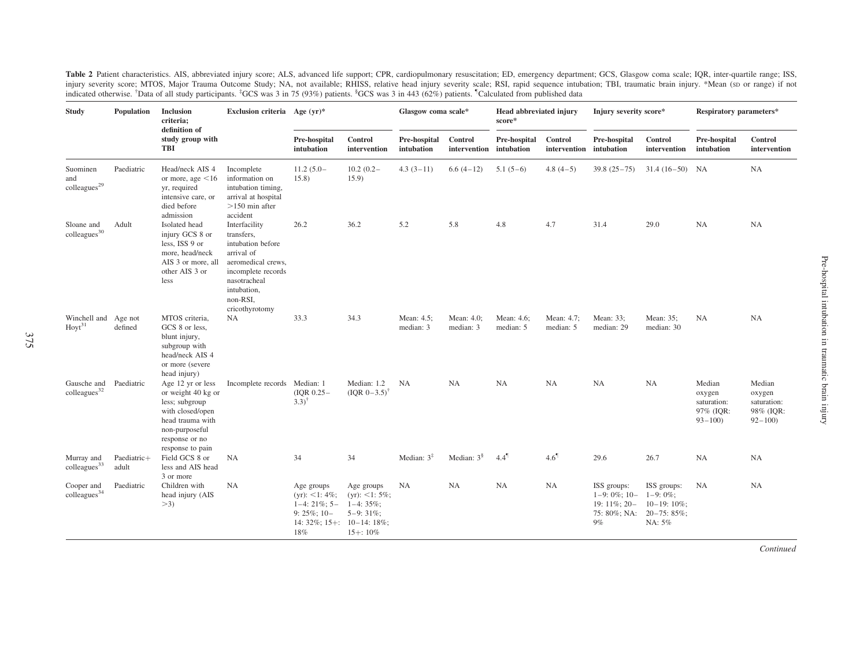Table 2 Patient characteristics. AIS, abbreviated injury score; ALS, advanced life support; CPR, cardiopulmonary resuscitation; ED, emergency department; GCS, Glasgow coma scale; IQR, inter-quartile range; ISS, injury severity score; MTOS, Major Trauma Outcome Study; NA, not available; RHISS, relative head injury severity scale; RSI, rapid sequence intubation; TBI, traumatic brain injury. \*Mean (sp or range) if not indicated otherwise. <sup>†</sup>Data of all study participants. <sup>‡</sup>GCS was 3 in 75 (93%) patients. <sup>§</sup>GCS was 3 in 443 (62%) patients. <sup>†</sup>Calculated from published data

| <b>Study</b>                                       | Population           | Inclusion<br>criteria;<br>definition of                                                                                                                   | Exclusion criteria Age $(yr)^*$                                                                                                                                         |                                                                                                          |                                                                             | Glasgow coma scale*        |                                    | <b>Head abbreviated injury</b><br>score* |                                    | Injury severity score*                                                             |                                                      | Respiratory parameters*                                    |                                                            |
|----------------------------------------------------|----------------------|-----------------------------------------------------------------------------------------------------------------------------------------------------------|-------------------------------------------------------------------------------------------------------------------------------------------------------------------------|----------------------------------------------------------------------------------------------------------|-----------------------------------------------------------------------------|----------------------------|------------------------------------|------------------------------------------|------------------------------------|------------------------------------------------------------------------------------|------------------------------------------------------|------------------------------------------------------------|------------------------------------------------------------|
|                                                    |                      | study group with<br>TBI                                                                                                                                   |                                                                                                                                                                         | Pre-hospital<br>intubation                                                                               | Control<br>intervention                                                     | Pre-hospital<br>intubation | Control<br>intervention intubation | Pre-hospital                             | Control<br>intervention intubation | Pre-hospital                                                                       | Control<br>intervention                              | Pre-hospital<br>intubation                                 | Control<br>intervention                                    |
| Suominen<br>and<br>$\rm{colleagues}^{29}$          | Paediatric           | Head/neck AIS 4<br>or more, age $\leq 16$<br>yr, required<br>intensive care, or<br>died before<br>admission                                               | Incomplete<br>information on<br>intubation timing,<br>arrival at hospital<br>$>150$ min after<br>accident                                                               | $11.2(5.0 -$<br>15.8)                                                                                    | $10.2(0.2 -$<br>15.9                                                        | $4.3(3-11)$                | $6.6(4-12)$                        | $5.1(5-6)$                               | $4.8(4-5)$                         | $39.8(25-75)$                                                                      | $31.4(16-50)$ NA                                     |                                                            | <b>NA</b>                                                  |
| Sloane and<br>$\text{colleagues}^{30}$             | Adult                | Isolated head<br>injury GCS 8 or<br>less, ISS 9 or<br>more, head/neck<br>AIS 3 or more, all<br>other AIS 3 or<br>less                                     | Interfacility<br>transfers.<br>intubation before<br>arrival of<br>aeromedical crews,<br>incomplete records<br>nasotracheal<br>intubation,<br>non-RSI,<br>cricothyrotomy | 26.2                                                                                                     | 36.2                                                                        | 5.2                        | 5.8                                | 4.8                                      | 4.7                                | 31.4                                                                               | 29.0                                                 | <b>NA</b>                                                  | <b>NA</b>                                                  |
| Winchell and Age not<br>$\text{Hov}^{31}$          | defined              | MTOS criteria,<br>GCS 8 or less.<br>blunt injury,<br>subgroup with<br>head/neck AIS 4<br>or more (severe<br>head injury)                                  | NA.                                                                                                                                                                     | 33.3                                                                                                     | 34.3                                                                        | Mean: 4.5;<br>median: 3    | Mean: 4.0;<br>median: 3            | Mean: 4.6;<br>median: 5                  | Mean: 4.7;<br>median: 5            | Mean: 33;<br>median: 29                                                            | Mean: 35;<br>median: 30                              | <b>NA</b>                                                  | <b>NA</b>                                                  |
| Gausche and Paediatric<br>colleagues <sup>32</sup> |                      | Age 12 yr or less<br>or weight 40 kg or<br>less; subgroup<br>with closed/open<br>head trauma with<br>non-purposeful<br>response or no<br>response to pain | Incomplete records Median: 1                                                                                                                                            | $( IQR 0.25 -$<br>$3.3)$ <sup>1</sup>                                                                    | Median: 1.2<br>$( IQR 0-3.5)^{\dagger}$                                     | <b>NA</b>                  | <b>NA</b>                          | <b>NA</b>                                | <b>NA</b>                          | <b>NA</b>                                                                          | <b>NA</b>                                            | Median<br>oxygen<br>saturation:<br>97% (IOR:<br>$93 - 100$ | Median<br>oxygen<br>saturation:<br>98% (IQR:<br>$92 - 100$ |
| Murray and<br>colleagues <sup>33</sup>             | Paediatric+<br>adult | Field GCS 8 or<br>less and AIS head<br>3 or more                                                                                                          | <b>NA</b>                                                                                                                                                               | 34                                                                                                       | 34                                                                          | Median: $3‡$               | Median: $3§$                       | $4.4^{\degree}$                          | 4.6 <sup>1</sup>                   | 29.6                                                                               | 26.7                                                 | NA                                                         | <b>NA</b>                                                  |
| Cooper and<br>$\text{colleagues}^{34}$             | Paediatric           | Children with<br>head injury (AIS<br>>3                                                                                                                   | <b>NA</b>                                                                                                                                                               | Age groups<br>$(yr):$ <1: 4%;<br>$1-4:21\%;5-$<br>9: $25\%$ ; 10-<br>14: 32%; 15+: $10-14$ : 18%;<br>18% | Age groups<br>(yr): <1: $5\%$ ;<br>$1-4:35\%$ :<br>$5-9:31\%$<br>$15+:10\%$ | <b>NA</b>                  | <b>NA</b>                          | <b>NA</b>                                | <b>NA</b>                          | ISS groups:<br>$1-9:0\%;10-$<br>$19:11\%;20-$<br>75: 80%; NA: 20-75: 85%;<br>$9\%$ | ISS groups:<br>$1-9:0\%$<br>$10-19:10\%$ ;<br>NA: 5% | <b>NA</b>                                                  | <b>NA</b>                                                  |

Continued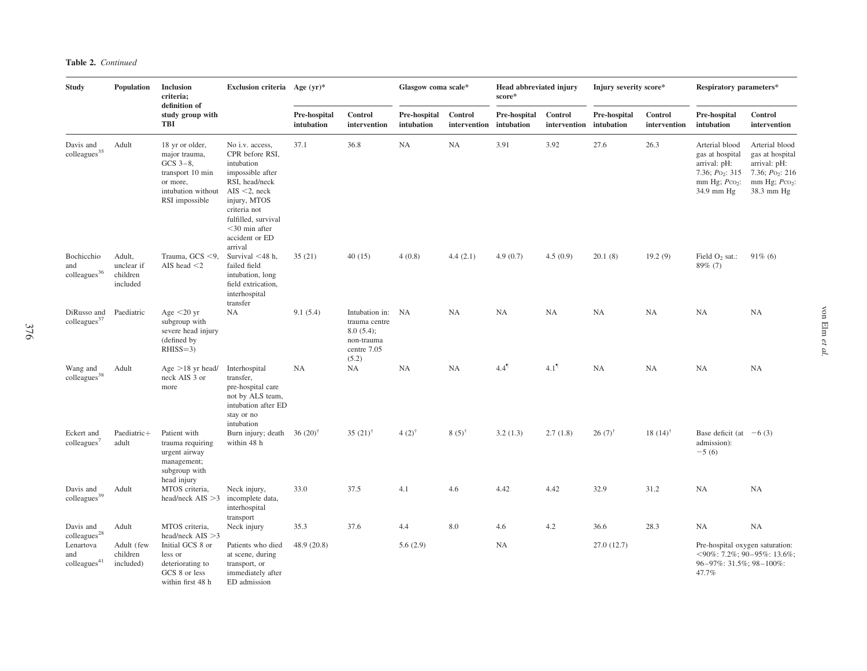| <b>Study</b>                                  | Population                                   | <b>Inclusion</b><br>criteria;                                                                                           | Exclusion criteria Age $(yr)^*$                                                                                                                                                                                   |                            |                                                                                       | Glasgow coma scale*        |                                    | <b>Head abbreviated injury</b><br>score* |                                    | Injury severity score* |                         | Respiratory parameters*                                                                                  |                                                                                                          |
|-----------------------------------------------|----------------------------------------------|-------------------------------------------------------------------------------------------------------------------------|-------------------------------------------------------------------------------------------------------------------------------------------------------------------------------------------------------------------|----------------------------|---------------------------------------------------------------------------------------|----------------------------|------------------------------------|------------------------------------------|------------------------------------|------------------------|-------------------------|----------------------------------------------------------------------------------------------------------|----------------------------------------------------------------------------------------------------------|
|                                               |                                              | definition of<br>study group with<br><b>TBI</b>                                                                         |                                                                                                                                                                                                                   | Pre-hospital<br>intubation | Control<br>intervention                                                               | Pre-hospital<br>intubation | Control<br>intervention intubation | Pre-hospital                             | Control<br>intervention intubation | Pre-hospital           | Control<br>intervention | Pre-hospital<br>intubation                                                                               | Control<br>intervention                                                                                  |
| Davis and<br>$\rm{colleagues}^{35}$           | Adult                                        | 18 yr or older,<br>major trauma,<br>GCS $3-8$ ,<br>transport 10 min<br>or more,<br>intubation without<br>RSI impossible | No i.v. access,<br>CPR before RSI,<br>intubation<br>impossible after<br>RSI, head/neck<br>AIS $<$ 2, neck<br>injury, MTOS<br>criteria not<br>fulfilled, survival<br>$<$ 30 min after<br>accident or ED<br>arrival | 37.1                       | 36.8                                                                                  | NA                         | <b>NA</b>                          | 3.91                                     | 3.92                               | 27.6                   | 26.3                    | Arterial blood<br>gas at hospital<br>arrival: pH:<br>7.36; $Po_2$ : 315<br>mm Hg; $PCO2$ :<br>34.9 mm Hg | Arterial blood<br>gas at hospital<br>arrival: pH:<br>7.36; $Po_2$ : 216<br>mm Hg; $PCO2$ :<br>38.3 mm Hg |
| Bochicchio<br>and<br>$\text{colleagues}^{36}$ | Adult,<br>unclear if<br>children<br>included | Trauma, GCS <9,<br>AIS head $<$ 2                                                                                       | Survival $<$ 48 h,<br>failed field<br>intubation, long<br>field extrication,<br>interhospital<br>transfer                                                                                                         | 35(21)                     | 40(15)                                                                                | 4(0.8)                     | 4.4(2.1)                           | 4.9(0.7)                                 | 4.5(0.9)                           | 20.1(8)                | 19.2(9)                 | Field $O_2$ sat.:<br>$89\%$ (7)                                                                          | $91\%$ (6)                                                                                               |
| DiRusso and<br>colleagues <sup>37</sup>       | Paediatric                                   | Age $\leq$ 20 yr<br>subgroup with<br>severe head injury<br>(defined by<br>$RHISS=3)$                                    | <b>NA</b>                                                                                                                                                                                                         | 9.1(5.4)                   | Intubation in: NA<br>trauma centre<br>8.0(5.4);<br>non-trauma<br>centre 7.05<br>(5.2) |                            | <b>NA</b>                          | <b>NA</b>                                | NA                                 | <b>NA</b>              | NA                      | NA                                                                                                       | NA                                                                                                       |
| Wang and<br>$\rm{colleagues}^{38}$            | Adult                                        | Age $>18$ yr head/<br>neck AIS 3 or<br>more                                                                             | Interhospital<br>transfer,<br>pre-hospital care<br>not by ALS team,<br>intubation after ED<br>stay or no<br>intubation                                                                                            | <b>NA</b>                  | <b>NA</b>                                                                             | <b>NA</b>                  | <b>NA</b>                          | $4.4^{\P}$                               | $4.1^{\circ}$                      | NA                     | <b>NA</b>               | NA                                                                                                       | <b>NA</b>                                                                                                |
| Eckert and<br>colleagues'                     | Paediatric+<br>adult                         | Patient with<br>trauma requiring<br>urgent airway<br>management;<br>subgroup with<br>head injury                        | Burn injury; death<br>within 48 h                                                                                                                                                                                 | 36 $(20)^{\dagger}$        | 35 $(21)$ <sup>†</sup>                                                                | $4(2)^{1}$                 | $8(5)^{\dagger}$                   | 3.2(1.3)                                 | 2.7(1.8)                           | $26(7)$ <sup>†</sup>   | 18 $(14)^{\dagger}$     | Base deficit (at $-6(3)$ )<br>admission):<br>$-5(6)$                                                     |                                                                                                          |
| Davis and<br>colleagues <sup>39</sup>         | Adult                                        | MTOS criteria,<br>head/neck $AIS > 3$                                                                                   | Neck injury,<br>incomplete data,<br>interhospital<br>transport                                                                                                                                                    | 33.0                       | 37.5                                                                                  | 4.1                        | 4.6                                | 4.42                                     | 4.42                               | 32.9                   | 31.2                    | NA                                                                                                       | <b>NA</b>                                                                                                |
| Davis and<br>$\rm{colleagues}^{28}$           | Adult                                        | MTOS criteria,<br>head/neck $AIS > 3$                                                                                   | Neck injury                                                                                                                                                                                                       | 35.3                       | 37.6                                                                                  | 4.4                        | 8.0                                | 4.6                                      | 4.2                                | 36.6                   | 28.3                    | NA                                                                                                       | <b>NA</b>                                                                                                |
| Lenartova<br>and<br>$\text{colleagues}^{41}$  | Adult (few<br>children<br>included)          | Initial GCS 8 or<br>less or<br>deteriorating to<br>GCS 8 or less<br>within first 48 h                                   | Patients who died<br>at scene, during<br>transport, or<br>immediately after<br>ED admission                                                                                                                       | 48.9 (20.8)                |                                                                                       | 5.6(2.9)                   |                                    | <b>NA</b>                                |                                    | 27.0(12.7)             |                         | Pre-hospital oxygen saturation:<br>96-97%: 31.5%; 98-100%:<br>47.7%                                      | $\langle 90\% : 7.2\% ; 90-95\% : 13.6\% ;$                                                              |

376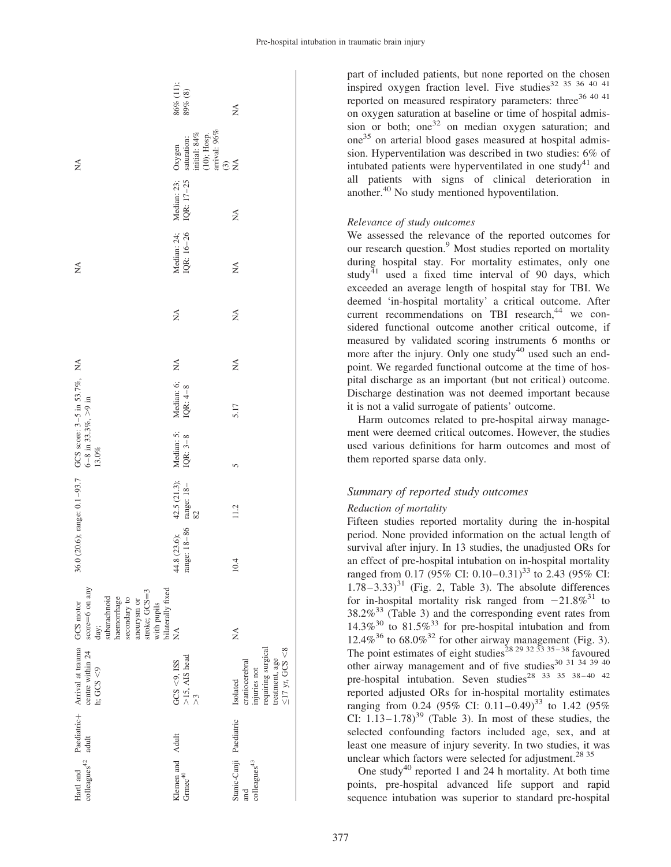|                                                                                                                                   | 86% (11);<br>$89\%$ $(8)$                                                 | ≸                                                                                                          |
|-----------------------------------------------------------------------------------------------------------------------------------|---------------------------------------------------------------------------|------------------------------------------------------------------------------------------------------------|
| ≸                                                                                                                                 | (10); Hosp.<br>arrival: $96\%$<br>initial: $84%$<br>saturation:<br>Oxygen | $\widehat{\mathcal{C}}$<br>$\lessapprox$                                                                   |
|                                                                                                                                   | Median: 23;<br>IQR: 17-25                                                 | Ź                                                                                                          |
| Ź                                                                                                                                 | Median: 24;<br>IQR: 16-26                                                 | $\mathbb{E}^{\mathsf{A}}$                                                                                  |
|                                                                                                                                   | $\mathbb{Z}^4$                                                            | $\mathbb{E}^{\mathsf{A}}$                                                                                  |
|                                                                                                                                   |                                                                           | $\mathbb{X}^{\mathsf{A}}$                                                                                  |
| GCS score: 3-5 in 53.7%, NA                                                                                                       | Median: 6; $NA$<br>IQR: $4-8$                                             | 5.17                                                                                                       |
| 6-8 in 33.3%, $>9$ in<br>$13.0\%$                                                                                                 | Median: 5;<br>IQR: $3-8$                                                  | 5                                                                                                          |
|                                                                                                                                   | 42.5 (21.3);<br>range: 18-<br>82                                          | 11.2                                                                                                       |
| 36.0 (20.6); range: 0.1-93.7                                                                                                      | range: 18-86<br>44.8 (23.6);                                              | 10.4                                                                                                       |
| score=6 on any<br>stroke; GCS=3<br>subarachnoid<br>haemorrhage<br>secondary to<br>aneurysm or<br>with pupils<br>GCS motor<br>day; | bilaterally fixed<br>NA                                                   | $\mathbb{X}^{\mathsf{A}}$                                                                                  |
| Paediatric+ Arrival at trauma<br>centre within 24<br>h; GCS $<$ 9                                                                 | GCS <9, ISS<br>>15, AIS head<br>>3                                        | requiring surgical<br>$\leq$ 17 yr, GCS <8<br>treatment, age<br>craniocerebral<br>injuries not<br>Isolated |
| adult                                                                                                                             |                                                                           |                                                                                                            |
| $\text{colleagues}^{42}$<br>Hartl and                                                                                             | Klemen and Adult<br>Grme $c^{40}$                                         | Stanic-Canji Paediatric<br>$\rm{colleages}^{43}$<br>and                                                    |

part of included patients, but none reported on the chosen inspired oxygen fraction level. Five studies<sup>32 35</sup> 36 40 41 reported on measured respiratory parameters: three<sup>36 40 41</sup> on oxygen saturation at baseline or time of hospital admission or both; one<sup>32</sup> on median oxygen saturation; and one<sup>35</sup> on arterial blood gases measured at hospital admission. Hyperventilation was described in two studies: 6% of intubated patients were hyperventilated in one study<sup>41</sup> and all patients with signs of clinical deterioration in another.<sup>40</sup> No study mentioned hypoventilation.

#### Relevance of study outcomes

We assessed the relevance of the reported outcomes for our research question.<sup>9</sup> Most studies reported on mortality during hospital stay. For mortality estimates, only one study<sup>41</sup> used a fixed time interval of 90 days, which exceeded an average length of hospital stay for TBI. We deemed 'in-hospital mortality' a critical outcome. After current recommendations on TBI research, $44$  we considered functional outcome another critical outcome, if measured by validated scoring instruments 6 months or more after the injury. Only one study<sup>40</sup> used such an endpoint. We regarded functional outcome at the time of hospital discharge as an important (but not critical) outcome. Discharge destination was not deemed important because it is not a valid surrogate of patients' outcome.

Harm outcomes related to pre-hospital airway management were deemed critical outcomes. However, the studies used various definitions for harm outcomes and most of them reported sparse data only.

# Summary of reported study outcomes

#### Reduction of mortality

Fifteen studies reported mortality during the in-hospital period. None provided information on the actual length of survival after injury. In 13 studies, the unadjusted ORs for an effect of pre-hospital intubation on in-hospital mortality ranged from 0.17 (95% CI: 0.10–0.31)<sup>33</sup> to 2.43 (95% CI:  $1.78-3.33$ <sup>31</sup> (Fig. 2, Table 3). The absolute differences for in-hospital mortality risk ranged from  $-21.8\%^{31}$  to  $38.2\%$ <sup>33</sup> (Table 3) and the corresponding event rates from  $14.3\%$ <sup>30</sup> to  $81.5\%$ <sup>33</sup> for pre-hospital intubation and from 12.4%<sup>36</sup> to 68.0%<sup>32</sup> for other airway management (Fig. 3). The point estimates of eight studies<sup>28 29 32 33 35 – 38</sup> favoured other airway management and of five studies $30\frac{31\frac{34}{39}}{49\frac{30}{31}}$ pre-hospital intubation. Seven studies<sup>28 33</sup> 35 38-40 42 reported adjusted ORs for in-hospital mortality estimates ranging from 0.24 (95% CI: 0.11 – 0.49)<sup>33</sup> to 1.42 (95% CI:  $1.13-1.78$ <sup>39</sup> (Table 3). In most of these studies, the selected confounding factors included age, sex, and at least one measure of injury severity. In two studies, it was unclear which factors were selected for adjustment.<sup>28 35</sup>

One study<sup>40</sup> reported 1 and 24 h mortality. At both time points, pre-hospital advanced life support and rapid sequence intubation was superior to standard pre-hospital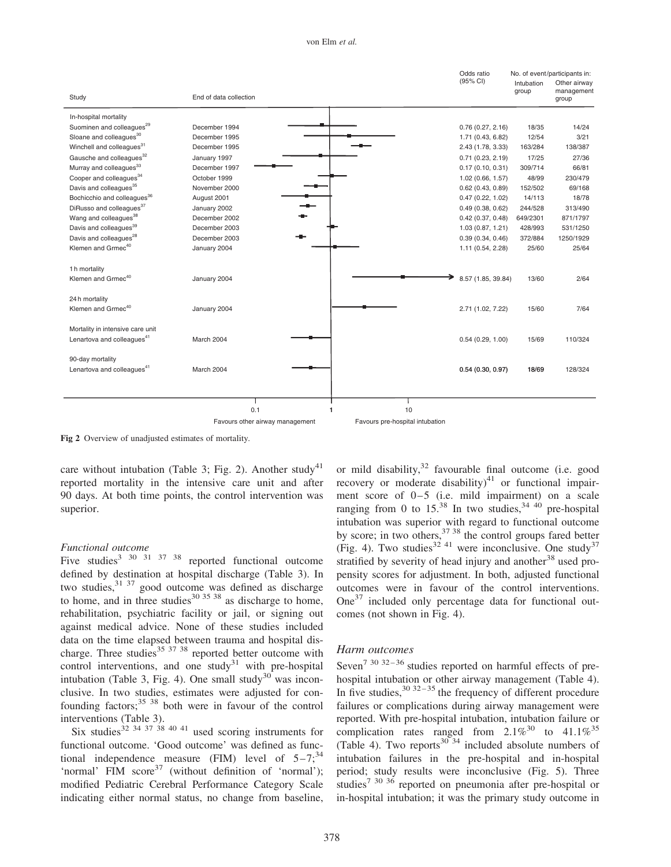#### von Elm et al.

|                                                                            |                                 |                                 | Odds ratio          |                     | No. of event/participants in:       |
|----------------------------------------------------------------------------|---------------------------------|---------------------------------|---------------------|---------------------|-------------------------------------|
| Study                                                                      | End of data collection          |                                 | (95% CI)            | Intubation<br>group | Other airway<br>management<br>group |
| In-hospital mortality                                                      |                                 |                                 |                     |                     |                                     |
| Suominen and colleagues <sup>29</sup>                                      | December 1994                   |                                 | 0.76(0.27, 2.16)    | 18/35               | 14/24                               |
| Sloane and colleagues <sup>30</sup>                                        | December 1995                   |                                 | 1.71 (0.43, 6.82)   | 12/54               | 3/21                                |
| Winchell and colleagues <sup>31</sup>                                      | December 1995                   |                                 | 2.43 (1.78, 3.33)   | 163/284             | 138/387                             |
| Gausche and colleagues <sup>32</sup>                                       | January 1997                    |                                 | 0.71(0.23, 2.19)    | 17/25               | 27/36                               |
| Murray and colleagues <sup>33</sup>                                        | December 1997                   |                                 | 0.17(0.10, 0.31)    | 309/714             | 66/81                               |
| Cooper and colleagues <sup>34</sup>                                        | October 1999                    |                                 | 1.02(0.66, 1.57)    | 48/99               | 230/479                             |
| Davis and colleagues <sup>35</sup>                                         | November 2000                   |                                 | $0.62$ (0.43, 0.89) | 152/502             | 69/168                              |
| Bochicchio and colleagues <sup>36</sup>                                    | August 2001                     |                                 | 0.47(0.22, 1.02)    | 14/113              | 18/78                               |
| DiRusso and colleagues <sup>37</sup>                                       | January 2002                    |                                 | 0.49(0.38, 0.62)    | 244/528             | 313/490                             |
| Wang and colleagues <sup>38</sup>                                          | December 2002                   |                                 | $0.42$ (0.37, 0.48) | 649/2301            | 871/1797                            |
| Davis and colleagues <sup>39</sup>                                         | December 2003                   |                                 | 1.03(0.87, 1.21)    | 428/993             | 531/1250                            |
| Davis and colleagues <sup>28</sup>                                         | December 2003                   |                                 | 0.39(0.34, 0.46)    | 372/884             | 1250/1929                           |
| Klemen and Grmec <sup>40</sup>                                             | January 2004                    |                                 | 1.11 (0.54, 2.28)   | 25/60               | 25/64                               |
| 1 h mortality<br>Klemen and Grmec <sup>40</sup>                            | January 2004                    |                                 | 8.57 (1.85, 39.84)  | 13/60               | 2/64                                |
| 24h mortality<br>Klemen and Grmec <sup>40</sup>                            | January 2004                    |                                 | 2.71 (1.02, 7.22)   | 15/60               | 7/64                                |
|                                                                            |                                 |                                 |                     |                     |                                     |
| Mortality in intensive care unit<br>Lenartova and colleagues <sup>41</sup> | March 2004                      |                                 | 0.54(0.29, 1.00)    | 15/69               | 110/324                             |
| 90-day mortality<br>Lenartova and colleagues <sup>41</sup>                 | March 2004                      |                                 | 0.54(0.30, 0.97)    | 18/69               | 128/324                             |
|                                                                            |                                 |                                 |                     |                     |                                     |
|                                                                            |                                 |                                 |                     |                     |                                     |
|                                                                            | 0.1                             | 10                              |                     |                     |                                     |
|                                                                            | Favours other airway management | Favours pre-hospital intubation |                     |                     |                                     |

Fig 2 Overview of unadjusted estimates of mortality.

care without intubation (Table 3; Fig. 2). Another study<sup>41</sup> reported mortality in the intensive care unit and after 90 days. At both time points, the control intervention was superior.

#### Functional outcome

Five studies<sup>3 30 31 37 38</sup> reported functional outcome defined by destination at hospital discharge (Table 3). In two studies,<sup>31 37</sup> good outcome was defined as discharge to home, and in three studies $^{30}$   $^{35}$   $^{38}$  as discharge to home, rehabilitation, psychiatric facility or jail, or signing out against medical advice. None of these studies included data on the time elapsed between trauma and hospital discharge. Three studies $^{35}$   $^{37}$   $^{38}$  reported better outcome with control interventions, and one study<sup>31</sup> with pre-hospital intubation (Table 3, Fig. 4). One small study<sup>30</sup> was inconclusive. In two studies, estimates were adjusted for confounding factors; $35 \times 38$  both were in favour of the control interventions (Table 3).

Six studies<sup>32 34 37</sup> <sup>38 40 41</sup> used scoring instruments for functional outcome. 'Good outcome' was defined as functional independence measure (FIM) level of  $5-7;^{34}$ 'normal' FIM  $score^{37}$  (without definition of 'normal'); modified Pediatric Cerebral Performance Category Scale indicating either normal status, no change from baseline,

or mild disability, $32$  favourable final outcome (i.e. good recovery or moderate disability)<sup>41</sup> or functional impairment score of  $0-5$  (i.e. mild impairment) on a scale ranging from 0 to  $15^{38}$  In two studies,<sup>34 40</sup> pre-hospital intubation was superior with regard to functional outcome by score; in two others,<sup>37 38</sup> the control groups fared better (Fig. 4). Two studies<sup>32 41</sup> were inconclusive. One study<sup>37</sup> stratified by severity of head injury and another<sup>38</sup> used propensity scores for adjustment. In both, adjusted functional outcomes were in favour of the control interventions.  $One<sup>37</sup>$  included only percentage data for functional outcomes (not shown in Fig. 4).

#### Harm outcomes

Seven<sup>7 30 32-36</sup> studies reported on harmful effects of prehospital intubation or other airway management (Table 4). In five studies,  $30\frac{32-35}{2}$  the frequency of different procedure failures or complications during airway management were reported. With pre-hospital intubation, intubation failure or complication rates ranged from  $2.1\%^{30}$  to  $41.1\%^{35}$ (Table 4). Two reports<sup>30 34</sup> included absolute numbers of intubation failures in the pre-hospital and in-hospital period; study results were inconclusive (Fig. 5). Three studies<sup>7 30 36</sup> reported on pneumonia after pre-hospital or in-hospital intubation; it was the primary study outcome in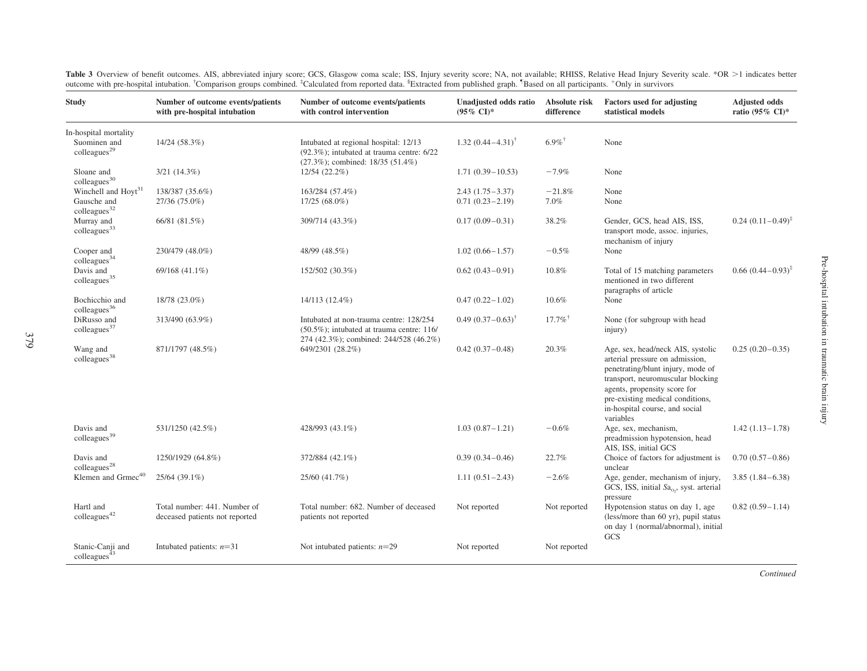| <b>Study</b>                                                               | Number of outcome events/patients<br>with pre-hospital intubation | Number of outcome events/patients<br>with control intervention                                                                      | Unadjusted odds ratio<br>$(95\% \text{ CI})^*$ | Absolute risk<br>difference | Factors used for adjusting<br>statistical models                                                                                                                                                                                                                  | <b>Adjusted odds</b><br>ratio (95% CI)* |
|----------------------------------------------------------------------------|-------------------------------------------------------------------|-------------------------------------------------------------------------------------------------------------------------------------|------------------------------------------------|-----------------------------|-------------------------------------------------------------------------------------------------------------------------------------------------------------------------------------------------------------------------------------------------------------------|-----------------------------------------|
| In-hospital mortality<br>Suominen and<br>colleagues <sup>29</sup>          | 14/24 (58.3%)                                                     | Intubated at regional hospital: 12/13<br>$(92.3\%)$ ; intubated at trauma centre: $6/22$<br>$(27.3\%)$ ; combined: 18/35 $(51.4\%)$ | 1.32 $(0.44 - 4.31)^{\dagger}$                 | $6.9\%$ <sup>†</sup>        | None                                                                                                                                                                                                                                                              |                                         |
| Sloane and<br>$\text{colleagues}^{30}$                                     | $3/21$ $(14.3\%)$                                                 | 12/54 (22.2%)                                                                                                                       | $1.71(0.39 - 10.53)$                           | $-7.9%$                     | None                                                                                                                                                                                                                                                              |                                         |
| Winchell and Hoyt <sup>31</sup><br>Gausche and<br>$\text{colleagues}^{32}$ | 138/387 (35.6%)<br>27/36 (75.0%)                                  | 163/284 (57.4%)<br>$17/25(68.0\%)$                                                                                                  | $2.43(1.75-3.37)$<br>$0.71(0.23 - 2.19)$       | $-21.8%$<br>7.0%            | None<br>None                                                                                                                                                                                                                                                      |                                         |
| Murray and<br>colleagues <sup>33</sup>                                     | 66/81 (81.5%)                                                     | 309/714 (43.3%)                                                                                                                     | $0.17(0.09 - 0.31)$                            | 38.2%                       | Gender, GCS, head AIS, ISS,<br>transport mode, assoc. injuries,<br>mechanism of injury                                                                                                                                                                            | $0.24$ $(0.11-0.49)^{\ddagger}$         |
| Cooper and<br>colleagues <sup>34</sup>                                     | 230/479 (48.0%)                                                   | 48/99 (48.5%)                                                                                                                       | $1.02(0.66 - 1.57)$                            | $-0.5%$                     | None                                                                                                                                                                                                                                                              |                                         |
| Davis and<br>colleagues <sup>35</sup>                                      | 69/168 (41.1%)                                                    | 152/502 (30.3%)                                                                                                                     | $0.62(0.43 - 0.91)$                            | 10.8%                       | Total of 15 matching parameters<br>mentioned in two different<br>paragraphs of article                                                                                                                                                                            | $0.66 (0.44 - 0.93)^{\ddagger}$         |
| Bochicchio and<br>$\text{colleagues}^{36}$                                 | 18/78 (23.0%)                                                     | 14/113 (12.4%)                                                                                                                      | $0.47(0.22 - 1.02)$                            | 10.6%                       | None                                                                                                                                                                                                                                                              |                                         |
| DiRusso and<br>$\text{colleagues}^{37}$                                    | 313/490 (63.9%)                                                   | Intubated at non-trauma centre: 128/254<br>$(50.5\%)$ ; intubated at trauma centre: 116/<br>274 (42.3%); combined: 244/528 (46.2%)  | $0.49(0.37-0.63)^{\dagger}$                    | $17.7\%$ <sup>†</sup>       | None (for subgroup with head<br>injury)                                                                                                                                                                                                                           |                                         |
| Wang and<br>colleagues <sup>38</sup>                                       | 871/1797 (48.5%)                                                  | 649/2301 (28.2%)                                                                                                                    | $0.42(0.37-0.48)$                              | 20.3%                       | Age, sex, head/neck AIS, systolic<br>arterial pressure on admission,<br>penetrating/blunt injury, mode of<br>transport, neuromuscular blocking<br>agents, propensity score for<br>pre-existing medical conditions,<br>in-hospital course, and social<br>variables | $0.25(0.20-0.35)$                       |
| Davis and<br>colleagues <sup>39</sup>                                      | 531/1250 (42.5%)                                                  | 428/993 (43.1%)                                                                                                                     | $1.03(0.87 - 1.21)$                            | $-0.6%$                     | Age, sex, mechanism,<br>preadmission hypotension, head<br>AIS, ISS, initial GCS                                                                                                                                                                                   | $1.42(1.13 - 1.78)$                     |
| Davis and<br>colleagues <sup>28</sup>                                      | 1250/1929 (64.8%)                                                 | 372/884 (42.1%)                                                                                                                     | $0.39(0.34 - 0.46)$                            | 22.7%                       | Choice of factors for adjustment is<br>unclear                                                                                                                                                                                                                    | $0.70(0.57-0.86)$                       |
| Klemen and Grmec <sup>40</sup>                                             | 25/64 (39.1%)                                                     | 25/60 (41.7%)                                                                                                                       | $1.11(0.51 - 2.43)$                            | $-2.6%$                     | Age, gender, mechanism of injury,<br>GCS, ISS, initial Sa <sub>o</sub> , syst. arterial<br>pressure                                                                                                                                                               | $3.85(1.84 - 6.38)$                     |
| Hartl and<br>colleagues <sup>42</sup>                                      | Total number: 441. Number of<br>deceased patients not reported    | Total number: 682. Number of deceased<br>patients not reported                                                                      | Not reported                                   | Not reported                | Hypotension status on day 1, age<br>(less/more than 60 yr), pupil status<br>on day 1 (normal/abnormal), initial<br>GCS                                                                                                                                            | $0.82(0.59 - 1.14)$                     |
| Stanic-Canji and<br>colleagues $43$                                        | Intubated patients: $n=31$                                        | Not intubated patients: $n=29$                                                                                                      | Not reported                                   | Not reported                |                                                                                                                                                                                                                                                                   |                                         |

Table 3 Overview of benefit outcomes. AIS, abbreviated injury score; GCS, Glasgow coma scale; ISS, Injury severity score; NA, not available; RHISS, Relative Head Injury Severity scale. \*OR >1 indicates better outcome with pre-hospital intubation. <sup>†</sup>Comparison groups combined. <sup>‡</sup>Calculated from reported data. <sup>§</sup>Extracted from published graph. <sup>1</sup>Based on all participants. <sup>+</sup>Only in survivors

Continued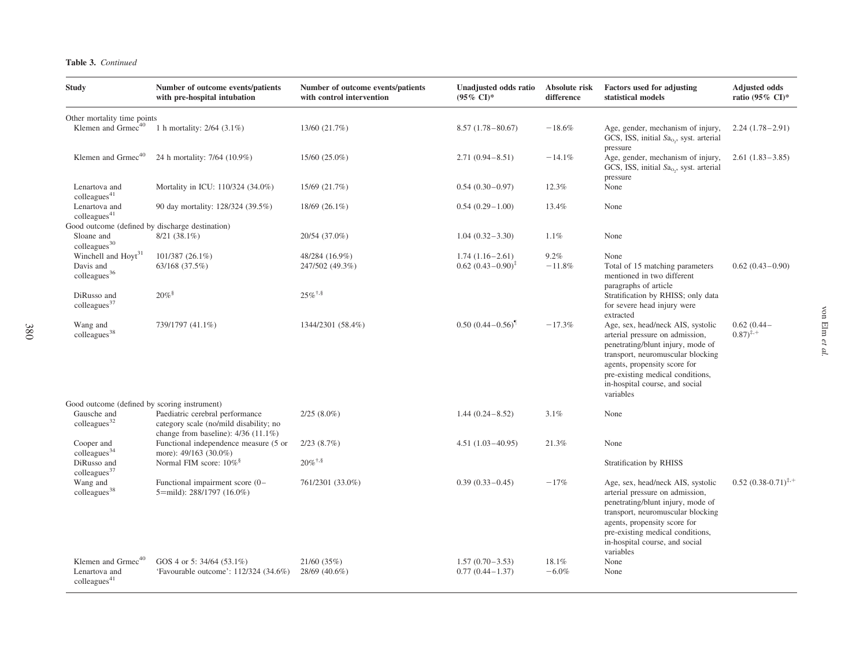|  | <b>Table 3.</b> Continued |
|--|---------------------------|
|--|---------------------------|

380

| <b>Study</b>                                                               | Number of outcome events/patients<br>with pre-hospital intubation                                                  | Number of outcome events/patients<br>with control intervention | Unadjusted odds ratio<br>$(95\% \text{ CI})^*$ | Absolute risk<br>difference | <b>Factors used for adjusting</b><br>statistical models                                                                                                                                                                                                           | <b>Adjusted odds</b><br>ratio (95% CI)* |
|----------------------------------------------------------------------------|--------------------------------------------------------------------------------------------------------------------|----------------------------------------------------------------|------------------------------------------------|-----------------------------|-------------------------------------------------------------------------------------------------------------------------------------------------------------------------------------------------------------------------------------------------------------------|-----------------------------------------|
| Other mortality time points                                                |                                                                                                                    |                                                                |                                                |                             |                                                                                                                                                                                                                                                                   |                                         |
| Klemen and Grmec <sup>40</sup>                                             | 1 h mortality: 2/64 (3.1%)                                                                                         | 13/60 (21.7%)                                                  | $8.57(1.78-80.67)$                             | $-18.6%$                    | Age, gender, mechanism of injury,<br>GCS, ISS, initial Sa <sub>o</sub> , syst. arterial<br>pressure                                                                                                                                                               | $2.24(1.78-2.91)$                       |
| Klemen and Grmec <sup>40</sup>                                             | 24 h mortality: 7/64 (10.9%)                                                                                       | 15/60 (25.0%)                                                  | $2.71(0.94 - 8.51)$                            | $-14.1%$                    | Age, gender, mechanism of injury,<br>GCS, ISS, initial Sa <sub>o</sub> , syst. arterial                                                                                                                                                                           | $2.61(1.83 - 3.85)$                     |
| Lenartova and<br>colleagues <sup>41</sup>                                  | Mortality in ICU: 110/324 (34.0%)                                                                                  | 15/69 (21.7%)                                                  | $0.54(0.30-0.97)$                              | 12.3%                       | pressure<br>None                                                                                                                                                                                                                                                  |                                         |
| Lenartova and<br>colleagues <sup>41</sup>                                  | 90 day mortality: 128/324 (39.5%)                                                                                  | $18/69$ $(26.1\%)$                                             | $0.54(0.29-1.00)$                              | 13.4%                       | None                                                                                                                                                                                                                                                              |                                         |
| Good outcome (defined by discharge destination)                            |                                                                                                                    |                                                                |                                                |                             |                                                                                                                                                                                                                                                                   |                                         |
| Sloane and<br>colleagues <sup>30</sup>                                     | $8/21(38.1\%)$                                                                                                     | 20/54 (37.0%)                                                  | $1.04(0.32 - 3.30)$                            | 1.1%                        | None                                                                                                                                                                                                                                                              |                                         |
| Winchell and Hoyt <sup>31</sup>                                            | 101/387 (26.1%)                                                                                                    | 48/284 (16.9%)                                                 | $1.74(1.16-2.61)$                              | 9.2%                        | None                                                                                                                                                                                                                                                              |                                         |
| Davis and<br>colleagues <sup>36</sup>                                      | 63/168 (37.5%)                                                                                                     | 247/502 (49.3%)                                                | $0.62$ $(0.43 - 0.90)^{\ddagger}$              | $-11.8%$                    | Total of 15 matching parameters<br>mentioned in two different<br>paragraphs of article                                                                                                                                                                            | $0.62(0.43 - 0.90)$                     |
| DiRusso and<br>colleagues <sup>37</sup>                                    | $20\%$                                                                                                             | $25\%$ <sup><math>\dagger,</math>§</sup>                       |                                                |                             | Stratification by RHISS; only data<br>for severe head injury were<br>extracted                                                                                                                                                                                    |                                         |
| Wang and<br>colleagues <sup>38</sup>                                       | 739/1797 (41.1%)                                                                                                   | 1344/2301 (58.4%)                                              | $0.50(0.44 - 0.56)$ <sup>1</sup>               | $-17.3%$                    | Age, sex, head/neck AIS, systolic<br>arterial pressure on admission,<br>penetrating/blunt injury, mode of<br>transport, neuromuscular blocking<br>agents, propensity score for<br>pre-existing medical conditions,<br>in-hospital course, and social<br>variables | $0.62(0.44 -$<br>$(0.87)^{4,+}$         |
| Good outcome (defined by scoring instrument)                               |                                                                                                                    |                                                                |                                                |                             |                                                                                                                                                                                                                                                                   |                                         |
| Gausche and<br>$\text{colleagues}^{32}$                                    | Paediatric cerebral performance<br>category scale (no/mild disability; no<br>change from baseline): $4/36$ (11.1%) | $2/25(8.0\%)$                                                  | $1.44(0.24 - 8.52)$                            | 3.1%                        | None                                                                                                                                                                                                                                                              |                                         |
| Cooper and<br>colleagues <sup>34</sup>                                     | Functional independence measure (5 or<br>more): 49/163 (30.0%)                                                     | 2/23(8.7%)                                                     | $4.51(1.03 - 40.95)$                           | 21.3%                       | None                                                                                                                                                                                                                                                              |                                         |
| DiRusso and<br>colleagues <sup>37</sup>                                    | Normal FIM score: $10\%$ <sup>§</sup>                                                                              | $20\%$ <sup><math>\ddagger</math>,§</sup>                      |                                                |                             | Stratification by RHISS                                                                                                                                                                                                                                           |                                         |
| Wang and<br>colleagues <sup>38</sup>                                       | Functional impairment score (0-<br>5=mild): 288/1797 (16.0%)                                                       | 761/2301 (33.0%)                                               | $0.39(0.33 - 0.45)$                            | $-17%$                      | Age, sex, head/neck AIS, systolic<br>arterial pressure on admission,<br>penetrating/blunt injury, mode of<br>transport, neuromuscular blocking<br>agents, propensity score for<br>pre-existing medical conditions,<br>in-hospital course, and social<br>variables | $0.52(0.38-0.71)^{4,+}$                 |
| Klemen and Grmec <sup>40</sup><br>Lenartova and<br>$\text{colleaves}^{41}$ | GOS 4 or 5: 34/64 (53.1%)<br>'Favourable outcome': 112/324 (34.6%)                                                 | 21/60(35%)<br>28/69 (40.6%)                                    | $1.57(0.70-3.53)$<br>$0.77(0.44 - 1.37)$       | 18.1%<br>$-6.0%$            | None<br>None                                                                                                                                                                                                                                                      |                                         |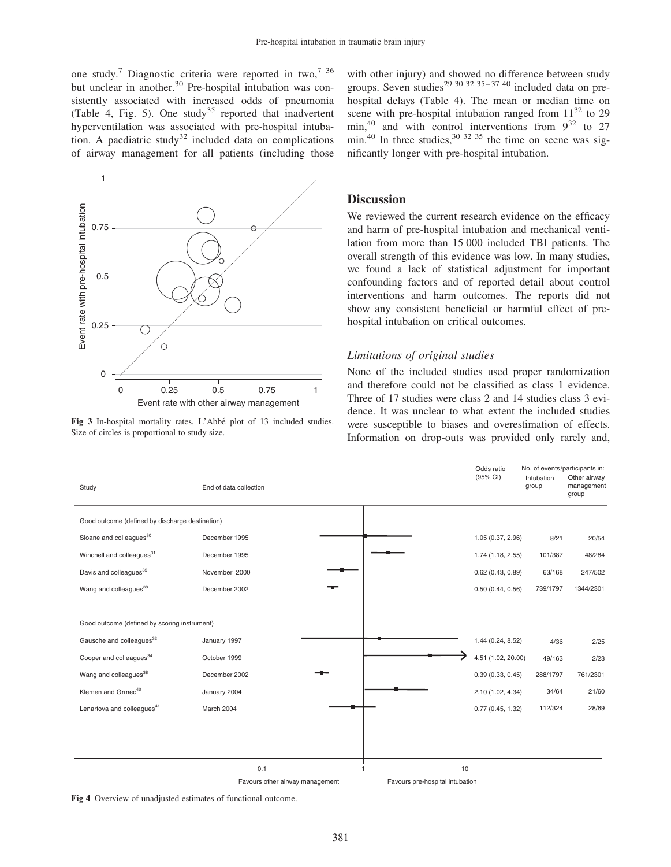one study.<sup>7</sup> Diagnostic criteria were reported in two,<sup>7 36</sup> but unclear in another.<sup>30</sup> Pre-hospital intubation was consistently associated with increased odds of pneumonia (Table 4, Fig. 5). One study<sup>35</sup> reported that inadvertent hyperventilation was associated with pre-hospital intubation. A paediatric study<sup>32</sup> included data on complications of airway management for all patients (including those



Fig 3 In-hospital mortality rates, L'Abbé plot of 13 included studies. Size of circles is proportional to study size.

with other injury) and showed no difference between study groups. Seven studies<sup>29 30 32 35 – 37 40</sup> included data on prehospital delays (Table 4). The mean or median time on scene with pre-hospital intubation ranged from  $11^{32}$  to 29 min,<sup>40</sup> and with control interventions from  $9^{32}$  to 27 min.<sup>40</sup> In three studies,  $30^{32}$  35 the time on scene was significantly longer with pre-hospital intubation.

# **Discussion**

We reviewed the current research evidence on the efficacy and harm of pre-hospital intubation and mechanical ventilation from more than 15 000 included TBI patients. The overall strength of this evidence was low. In many studies, we found a lack of statistical adjustment for important confounding factors and of reported detail about control interventions and harm outcomes. The reports did not show any consistent beneficial or harmful effect of prehospital intubation on critical outcomes.

#### Limitations of original studies

None of the included studies used proper randomization and therefore could not be classified as class 1 evidence. Three of 17 studies were class 2 and 14 studies class 3 evidence. It was unclear to what extent the included studies were susceptible to biases and overestimation of effects. Information on drop-outs was provided only rarely and,



Fig 4 Overview of unadjusted estimates of functional outcome.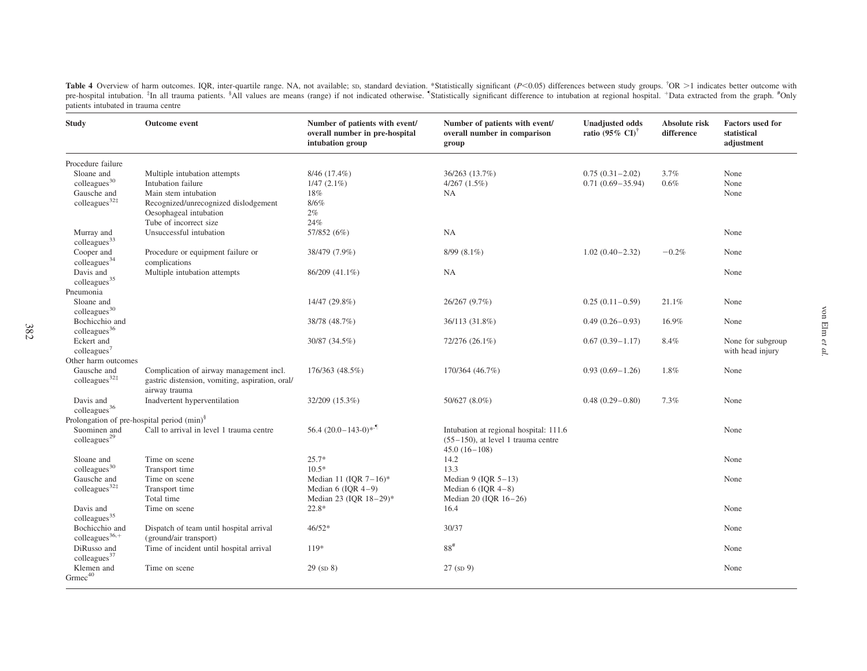Table 4 Overview of harm outcomes. IQR, inter-quartile range. NA, not available; sp, standard deviation. \*Statistically significant  $(P< 0.05)$  differences between study groups.  $\rm{†OR} > 1$  indicates better outcome with pre-hospital intubation. <sup>‡</sup>In all trauma patients. <sup>§</sup>All values are means (range) if not indicated otherwise. <sup>8</sup>Statistically significant difference to intubation at regional hospital. <sup>+</sup>Data extracted from the graph. patients intubated in trauma centre  $\overline{\phantom{a}}$ 

| <b>Study</b>                                                                                    | <b>Outcome</b> event                                                                                               | Number of patients with event/<br>overall number in pre-hospital<br>intubation group | Number of patients with event/<br>overall number in comparison<br>group                           | <b>Unadjusted odds</b><br>ratio (95% $CD^{\dagger}$ | Absolute risk<br>difference | <b>Factors</b> used for<br>statistical<br>adjustment |
|-------------------------------------------------------------------------------------------------|--------------------------------------------------------------------------------------------------------------------|--------------------------------------------------------------------------------------|---------------------------------------------------------------------------------------------------|-----------------------------------------------------|-----------------------------|------------------------------------------------------|
| Procedure failure<br>Sloane and<br>colleagues <sup>30</sup><br>Gausche and<br>colleagues $32$ # | Multiple intubation attempts<br>Intubation failure<br>Main stem intubation<br>Recognized/unrecognized dislodgement | $8/46$ (17.4%)<br>$1/47(2.1\%)$<br>18%<br>8/6%                                       | 36/263 (13.7%)<br>4/267(1.5%)<br><b>NA</b>                                                        | $0.75(0.31 - 2.02)$<br>$0.71(0.69 - 35.94)$         | 3.7%<br>0.6%                | None<br>None<br>None                                 |
| Murray and                                                                                      | Oesophageal intubation<br>Tube of incorrect size<br>Unsuccessful intubation                                        | 2%<br>24%<br>57/852 (6%)                                                             | NA                                                                                                |                                                     |                             | None                                                 |
| colleagues <sup>33</sup><br>Cooper and<br>colleagues <sup>34</sup>                              | Procedure or equipment failure or<br>complications                                                                 | 38/479 (7.9%)                                                                        | $8/99(8.1\%)$                                                                                     | $1.02(0.40-2.32)$                                   | $-0.2%$                     | None                                                 |
| Davis and<br>colleagues <sup>35</sup><br>Pneumonia                                              | Multiple intubation attempts                                                                                       | 86/209 (41.1%)                                                                       | <b>NA</b>                                                                                         |                                                     |                             | None                                                 |
| Sloane and<br>$\text{colleagues}^{30}$                                                          |                                                                                                                    | 14/47 (29.8%)                                                                        | 26/267 (9.7%)                                                                                     | $0.25(0.11-0.59)$                                   | 21.1%                       | None                                                 |
| Bochicchio and<br>colleagues <sup>36</sup>                                                      |                                                                                                                    | 38/78 (48.7%)                                                                        | 36/113 (31.8%)                                                                                    | $0.49(0.26 - 0.93)$                                 | 16.9%                       | None                                                 |
| Eckert and<br>$\text{colleagues}^7$                                                             |                                                                                                                    | 30/87 (34.5%)                                                                        | 72/276 (26.1%)                                                                                    | $0.67(0.39 - 1.17)$                                 | 8.4%                        | None for subgroup<br>with head injury                |
| Other harm outcomes<br>Gausche and<br>colleagues $32\ddagger$                                   | Complication of airway management incl.<br>gastric distension, vomiting, aspiration, oral/<br>airway trauma        | 176/363 (48.5%)                                                                      | 170/364 (46.7%)                                                                                   | $0.93(0.69-1.26)$                                   | 1.8%                        | None                                                 |
| Davis and<br>$\rm{colleagues}^{36}$                                                             | Inadvertent hyperventilation                                                                                       | 32/209 (15.3%)                                                                       | 50/627 (8.0%)                                                                                     | $0.48(0.29-0.80)$                                   | 7.3%                        | None                                                 |
| Prolongation of pre-hospital period $(min)^{\$}$                                                |                                                                                                                    |                                                                                      |                                                                                                   |                                                     |                             |                                                      |
| Suominen and<br>colleagues <sup>29</sup>                                                        | Call to arrival in level 1 trauma centre                                                                           | 56.4 $(20.0 - 143.0)*$ <sup>-1</sup>                                                 | Intubation at regional hospital: 111.6<br>$(55-150)$ , at level 1 trauma centre<br>$45.0(16-108)$ |                                                     |                             | None                                                 |
| Sloane and<br>colleagues <sup>30</sup>                                                          | Time on scene<br>Transport time                                                                                    | $25.7*$<br>$10.5*$                                                                   | 14.2<br>13.3                                                                                      |                                                     |                             | None                                                 |
| Gausche and<br>colleagues $32$ #                                                                | Time on scene<br>Transport time                                                                                    | Median 11 (IQR $7-16$ )*<br>Median $6$ (IQR $4-9$ )                                  | Median 9 (IQR $5-13$ )<br>Median $6$ (IOR $4-8$ )                                                 |                                                     |                             | None                                                 |
| Davis and<br>$\text{colleagues}^{35}$                                                           | Total time<br>Time on scene                                                                                        | Median 23 (IOR 18-29)*<br>$22.8*$                                                    | Median 20 (IOR 16-26)<br>16.4                                                                     |                                                     |                             | None                                                 |
| Bochicchio and<br>$\text{colleagues}^{36,+}$                                                    | Dispatch of team until hospital arrival<br>(ground/air transport)                                                  | $46/52*$                                                                             | 30/37                                                                                             |                                                     |                             | None                                                 |
| DiRusso and<br>$\text{colleagues}^{37}$                                                         | Time of incident until hospital arrival                                                                            | $119*$                                                                               | $88^{\#}$                                                                                         |                                                     |                             | None                                                 |
| Klemen and<br>$\mbox{Grmec}^{40}$                                                               | Time on scene                                                                                                      | $29$ (sp $8$ )                                                                       | $27$ (sp 9)                                                                                       |                                                     |                             | None                                                 |

von Elm

et al.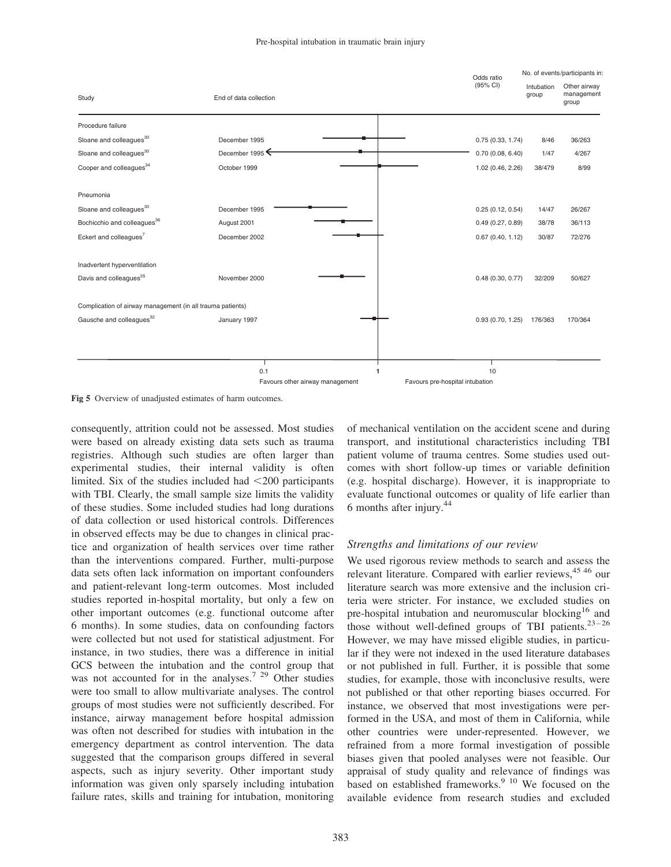

Fig 5 Overview of unadjusted estimates of harm outcomes.

consequently, attrition could not be assessed. Most studies were based on already existing data sets such as trauma registries. Although such studies are often larger than experimental studies, their internal validity is often limited. Six of the studies included had  $\leq$ 200 participants with TBI. Clearly, the small sample size limits the validity of these studies. Some included studies had long durations of data collection or used historical controls. Differences in observed effects may be due to changes in clinical practice and organization of health services over time rather than the interventions compared. Further, multi-purpose data sets often lack information on important confounders and patient-relevant long-term outcomes. Most included studies reported in-hospital mortality, but only a few on other important outcomes (e.g. functional outcome after 6 months). In some studies, data on confounding factors were collected but not used for statistical adjustment. For instance, in two studies, there was a difference in initial GCS between the intubation and the control group that was not accounted for in the analyses.<sup>7 29</sup> Other studies were too small to allow multivariate analyses. The control groups of most studies were not sufficiently described. For instance, airway management before hospital admission was often not described for studies with intubation in the emergency department as control intervention. The data suggested that the comparison groups differed in several aspects, such as injury severity. Other important study information was given only sparsely including intubation failure rates, skills and training for intubation, monitoring of mechanical ventilation on the accident scene and during transport, and institutional characteristics including TBI patient volume of trauma centres. Some studies used outcomes with short follow-up times or variable definition (e.g. hospital discharge). However, it is inappropriate to evaluate functional outcomes or quality of life earlier than 6 months after injury.44

# Strengths and limitations of our review

We used rigorous review methods to search and assess the relevant literature. Compared with earlier reviews, <sup>45 46</sup> our literature search was more extensive and the inclusion criteria were stricter. For instance, we excluded studies on pre-hospital intubation and neuromuscular blocking<sup>16</sup> and those without well-defined groups of TBI patients. $23-26$ However, we may have missed eligible studies, in particular if they were not indexed in the used literature databases or not published in full. Further, it is possible that some studies, for example, those with inconclusive results, were not published or that other reporting biases occurred. For instance, we observed that most investigations were performed in the USA, and most of them in California, while other countries were under-represented. However, we refrained from a more formal investigation of possible biases given that pooled analyses were not feasible. Our appraisal of study quality and relevance of findings was based on established frameworks.<sup>9</sup> <sup>10</sup> We focused on the available evidence from research studies and excluded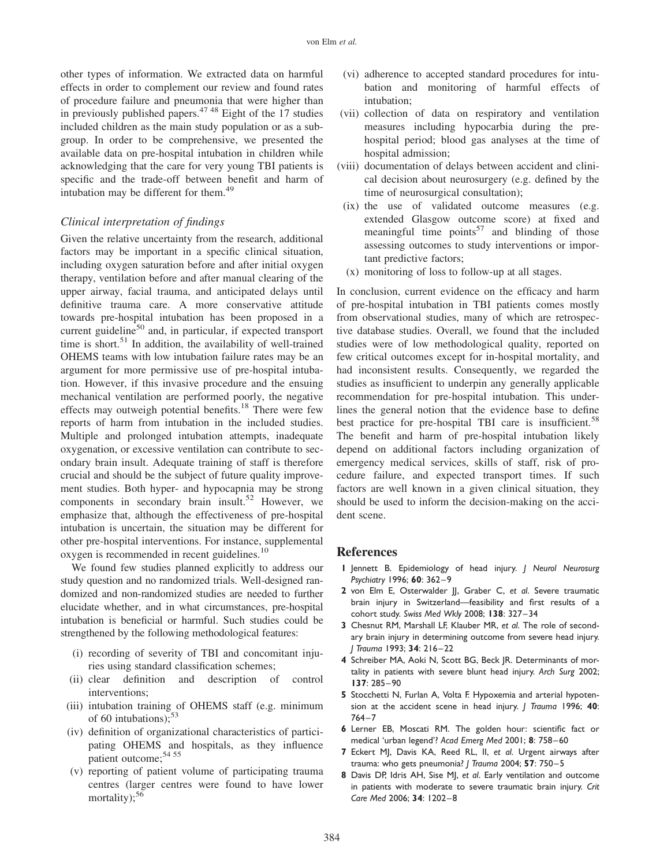other types of information. We extracted data on harmful effects in order to complement our review and found rates of procedure failure and pneumonia that were higher than in previously published papers. $47.48$  Eight of the 17 studies included children as the main study population or as a subgroup. In order to be comprehensive, we presented the available data on pre-hospital intubation in children while acknowledging that the care for very young TBI patients is specific and the trade-off between benefit and harm of intubation may be different for them.<sup>49</sup>

### Clinical interpretation of findings

Given the relative uncertainty from the research, additional factors may be important in a specific clinical situation, including oxygen saturation before and after initial oxygen therapy, ventilation before and after manual clearing of the upper airway, facial trauma, and anticipated delays until definitive trauma care. A more conservative attitude towards pre-hospital intubation has been proposed in a current guideline<sup>50</sup> and, in particular, if expected transport time is short.<sup>51</sup> In addition, the availability of well-trained OHEMS teams with low intubation failure rates may be an argument for more permissive use of pre-hospital intubation. However, if this invasive procedure and the ensuing mechanical ventilation are performed poorly, the negative effects may outweigh potential benefits.<sup>18</sup> There were few reports of harm from intubation in the included studies. Multiple and prolonged intubation attempts, inadequate oxygenation, or excessive ventilation can contribute to secondary brain insult. Adequate training of staff is therefore crucial and should be the subject of future quality improvement studies. Both hyper- and hypocapnia may be strong components in secondary brain insult.<sup>52</sup> However, we emphasize that, although the effectiveness of pre-hospital intubation is uncertain, the situation may be different for other pre-hospital interventions. For instance, supplemental oxygen is recommended in recent guidelines.<sup>10</sup>

We found few studies planned explicitly to address our study question and no randomized trials. Well-designed randomized and non-randomized studies are needed to further elucidate whether, and in what circumstances, pre-hospital intubation is beneficial or harmful. Such studies could be strengthened by the following methodological features:

- (i) recording of severity of TBI and concomitant injuries using standard classification schemes;
- (ii) clear definition and description of control interventions;
- (iii) intubation training of OHEMS staff (e.g. minimum of 60 intubations); $53$
- (iv) definition of organizational characteristics of participating OHEMS and hospitals, as they influence patient outcome;<sup>54 55</sup>
- (v) reporting of patient volume of participating trauma centres (larger centres were found to have lower mortality): $56$
- (vi) adherence to accepted standard procedures for intubation and monitoring of harmful effects of intubation;
- (vii) collection of data on respiratory and ventilation measures including hypocarbia during the prehospital period; blood gas analyses at the time of hospital admission;
- (viii) documentation of delays between accident and clinical decision about neurosurgery (e.g. defined by the time of neurosurgical consultation);
- (ix) the use of validated outcome measures (e.g. extended Glasgow outcome score) at fixed and meaningful time points<sup>57</sup> and blinding of those assessing outcomes to study interventions or important predictive factors;
- (x) monitoring of loss to follow-up at all stages.

In conclusion, current evidence on the efficacy and harm of pre-hospital intubation in TBI patients comes mostly from observational studies, many of which are retrospective database studies. Overall, we found that the included studies were of low methodological quality, reported on few critical outcomes except for in-hospital mortality, and had inconsistent results. Consequently, we regarded the studies as insufficient to underpin any generally applicable recommendation for pre-hospital intubation. This underlines the general notion that the evidence base to define best practice for pre-hospital TBI care is insufficient.<sup>58</sup> The benefit and harm of pre-hospital intubation likely depend on additional factors including organization of emergency medical services, skills of staff, risk of procedure failure, and expected transport times. If such factors are well known in a given clinical situation, they should be used to inform the decision-making on the accident scene.

#### References

- 1 Jennett B. Epidemiology of head injury. J Neurol Neurosurg Psychiatry 1996; 60: 362-9
- 2 von Elm E, Osterwalder JJ, Graber C, et al. Severe traumatic brain injury in Switzerland—feasibility and first results of a cohort study. Swiss Med Wkly 2008; 138: 327 – 34
- 3 Chesnut RM, Marshall LF, Klauber MR, et al. The role of secondary brain injury in determining outcome from severe head injury. J Trauma 1993; 34: 216-22
- 4 Schreiber MA, Aoki N, Scott BG, Beck JR. Determinants of mortality in patients with severe blunt head injury. Arch Surg 2002; 137: 285 –90
- 5 Stocchetti N, Furlan A, Volta F. Hypoxemia and arterial hypotension at the accident scene in head injury. J Trauma 1996; 40:  $764 - 7$
- 6 Lerner EB, Moscati RM. The golden hour: scientific fact or medical 'urban legend'? Acad Emerg Med 2001; 8: 758 – 60
- 7 Eckert MJ, Davis KA, Reed RL, II, et al. Urgent airways after trauma: who gets pneumonia? J Trauma 2004; 57: 750-5
- 8 Davis DP, Idris AH, Sise MJ, et al. Early ventilation and outcome in patients with moderate to severe traumatic brain injury. Crit Care Med 2006; 34: 1202-8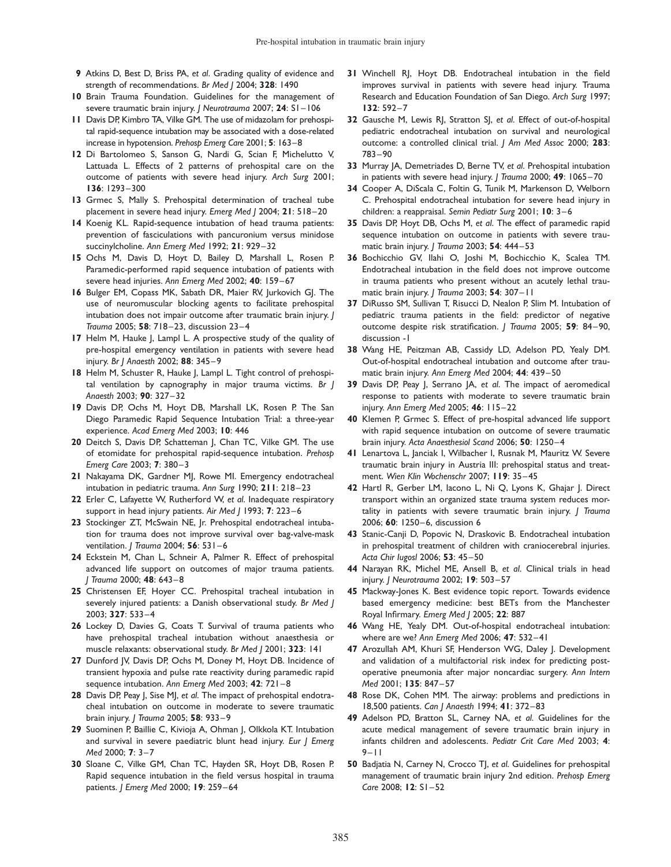- 9 Atkins D, Best D, Briss PA, et al. Grading quality of evidence and strength of recommendations. Br Med | 2004; 328: 1490
- 10 Brain Trauma Foundation. Guidelines for the management of severe traumatic brain injury. J Neurotrauma 2007; 24: SI-106
- 11 Davis DP, Kimbro TA, Vilke GM. The use of midazolam for prehospital rapid-sequence intubation may be associated with a dose-related increase in hypotension. Prehosp Emerg Care 2001; 5: 163–8
- 12 Di Bartolomeo S, Sanson G, Nardi G, Scian F, Michelutto V, Lattuada L. Effects of 2 patterns of prehospital care on the outcome of patients with severe head injury. Arch Surg 2001; 136: 1293 – 300
- 13 Grmec S, Mally S. Prehospital determination of tracheal tube placement in severe head injury. Emerg Med J 2004; 21: 518 – 20
- 14 Koenig KL. Rapid-sequence intubation of head trauma patients: prevention of fasciculations with pancuronium versus minidose succinylcholine. Ann Emerg Med 1992; 21: 929-32
- 15 Ochs M, Davis D, Hoyt D, Bailey D, Marshall L, Rosen P. Paramedic-performed rapid sequence intubation of patients with severe head injuries. Ann Emerg Med 2002: 40: 159-67
- 16 Bulger EM, Copass MK, Sabath DR, Maier RV, Jurkovich GJ. The use of neuromuscular blocking agents to facilitate prehospital intubation does not impair outcome after traumatic brain injury. J Trauma 2005; 58: 718-23, discussion 23-4
- 17 Helm M, Hauke J, Lampl L. A prospective study of the quality of pre-hospital emergency ventilation in patients with severe head injury. Br J Anaesth 2002; 88: 345-9
- 18 Helm M, Schuster R, Hauke J, Lampl L. Tight control of prehospital ventilation by capnography in major trauma victims. Br J Anaesth 2003; 90: 327-32
- 19 Davis DP, Ochs M, Hoyt DB, Marshall LK, Rosen P. The San Diego Paramedic Rapid Sequence Intubation Trial: a three-year experience. Acad Emerg Med 2003; 10: 446
- 20 Deitch S, Davis DP, Schatteman J, Chan TC, Vilke GM. The use of etomidate for prehospital rapid-sequence intubation. Prehosp Emerg Care 2003; 7: 380 – 3
- 21 Nakayama DK, Gardner MJ, Rowe MI. Emergency endotracheal intubation in pediatric trauma. Ann Surg 1990; 211: 218-23
- 22 Erler C, Lafayette W, Rutherford W, et al. Inadequate respiratory support in head injury patients. Air Med | 1993; 7: 223-6
- 23 Stockinger ZT, McSwain NE, Jr. Prehospital endotracheal intubation for trauma does not improve survival over bag-valve-mask ventilation. *J Trauma* 2004; **56**: 531-6
- 24 Eckstein M, Chan L, Schneir A, Palmer R. Effect of prehospital advanced life support on outcomes of major trauma patients. J Trauma 2000; 48: 643– 8
- 25 Christensen EF, Hoyer CC. Prehospital tracheal intubation in severely injured patients: a Danish observational study. Br Med J 2003; 327: 533 – 4
- 26 Lockey D, Davies G, Coats T. Survival of trauma patients who have prehospital tracheal intubation without anaesthesia or muscle relaxants: observational study. Br Med J 2001; 323: 141
- 27 Dunford JV, Davis DP, Ochs M, Doney M, Hoyt DB. Incidence of transient hypoxia and pulse rate reactivity during paramedic rapid sequence intubation. Ann Emerg Med 2003; 42: 721 – 8
- 28 Davis DP, Peay J, Sise MJ, et al. The impact of prehospital endotracheal intubation on outcome in moderate to severe traumatic brain injury. J Trauma 2005; 58: 933-9
- 29 Suominen P, Baillie C, Kivioja A, Ohman J, Olkkola KT. Intubation and survival in severe paediatric blunt head injury. Eur J Emerg Med 2000; 7: 3–7
- 30 Sloane C, Vilke GM, Chan TC, Hayden SR, Hoyt DB, Rosen P. Rapid sequence intubation in the field versus hospital in trauma patients. J Emerg Med 2000; 19: 259 – 64
- 31 Winchell RI, Hoyt DB. Endotracheal intubation in the field improves survival in patients with severe head injury. Trauma Research and Education Foundation of San Diego. Arch Surg 1997; 132: 592 – 7
- 32 Gausche M, Lewis RJ, Stratton SJ, et al. Effect of out-of-hospital pediatric endotracheal intubation on survival and neurological outcome: a controlled clinical trial. J Am Med Assoc 2000; 283: 783 – 90
- 33 Murray JA, Demetriades D, Berne TV, et al. Prehospital intubation in patients with severe head injury. *J Trauma* 2000; 49: 1065-70
- 34 Cooper A, DiScala C, Foltin G, Tunik M, Markenson D, Welborn C. Prehospital endotracheal intubation for severe head injury in children: a reappraisal. Semin Pediatr Surg 2001; 10: 3–6
- 35 Davis DP, Hoyt DB, Ochs M, et al. The effect of paramedic rapid sequence intubation on outcome in patients with severe traumatic brain injury. *I Trauma* 2003: **54**: 444-53
- 36 Bochicchio GV, Ilahi O, Joshi M, Bochicchio K, Scalea TM. Endotracheal intubation in the field does not improve outcome in trauma patients who present without an acutely lethal traumatic brain injury. *I Trauma* 2003; **54**: 307-11
- 37 DiRusso SM, Sullivan T, Risucci D, Nealon P, Slim M, Intubation of pediatric trauma patients in the field: predictor of negative outcome despite risk stratification. *| Trauma* 2005; 59: 84-90, discussion -1
- 38 Wang HE, Peitzman AB, Cassidy LD, Adelson PD, Yealy DM. Out-of-hospital endotracheal intubation and outcome after traumatic brain injury. Ann Emerg Med 2004; 44: 439 – 50
- 39 Davis DP, Peay J, Serrano JA, et al. The impact of aeromedical response to patients with moderate to severe traumatic brain injury. Ann Emerg Med 2005; 46: 115-22
- 40 Klemen P, Grmec S. Effect of pre-hospital advanced life support with rapid sequence intubation on outcome of severe traumatic brain injury. Acta Anaesthesiol Scand 2006; 50: 1250-4
- 41 Lenartova L, Janciak I, Wilbacher I, Rusnak M, Mauritz W. Severe traumatic brain injury in Austria III: prehospital status and treatment. Wien Klin Wochenschr 2007; 119: 35-45
- 42 Hartl R, Gerber LM, Iacono L, Ni Q, Lyons K, Ghajar J. Direct transport within an organized state trauma system reduces mortality in patients with severe traumatic brain injury. J Trauma 2006; 60: 1250-6, discussion 6
- 43 Stanic-Canji D, Popovic N, Draskovic B. Endotracheal intubation in prehospital treatment of children with craniocerebral injuries. Acta Chir Iugosl 2006; 53: 45-50
- 44 Narayan RK, Michel ME, Ansell B, et al. Clinical trials in head injury. J Neurotrauma 2002; 19: 503 – 57
- 45 Mackway-Jones K. Best evidence topic report. Towards evidence based emergency medicine: best BETs from the Manchester Royal Infirmary. Emerg Med J 2005; 22: 887
- 46 Wang HE, Yealy DM. Out-of-hospital endotracheal intubation: where are we? Ann Emerg Med 2006; 47: 532-41
- 47 Arozullah AM, Khuri SF, Henderson WG, Daley J. Development and validation of a multifactorial risk index for predicting postoperative pneumonia after major noncardiac surgery. Ann Intern Med 2001; 135: 847-57
- 48 Rose DK, Cohen MM. The airway: problems and predictions in 18,500 patients. Can | Anaesth 1994; 41: 372-83
- 49 Adelson PD, Bratton SL, Carney NA, et al. Guidelines for the acute medical management of severe traumatic brain injury in infants children and adolescents. Pediatr Crit Care Med 2003; 4:  $9 - 11$
- 50 Badjatia N, Carney N, Crocco TJ, et al. Guidelines for prehospital management of traumatic brain injury 2nd edition. Prehosp Emerg Care 2008; 12: S1-52